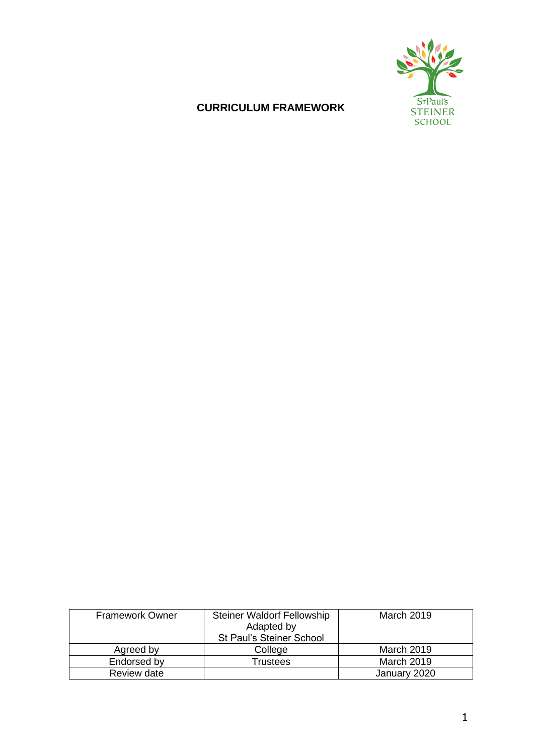

# **CURRICULUM FRAMEWORK**

| <b>Framework Owner</b> | <b>Steiner Waldorf Fellowship</b><br>Adapted by<br><b>St Paul's Steiner School</b> | <b>March 2019</b> |
|------------------------|------------------------------------------------------------------------------------|-------------------|
| Agreed by              | College                                                                            | March 2019        |
| Endorsed by            | Trustees                                                                           | <b>March 2019</b> |
| Review date            |                                                                                    | January 2020      |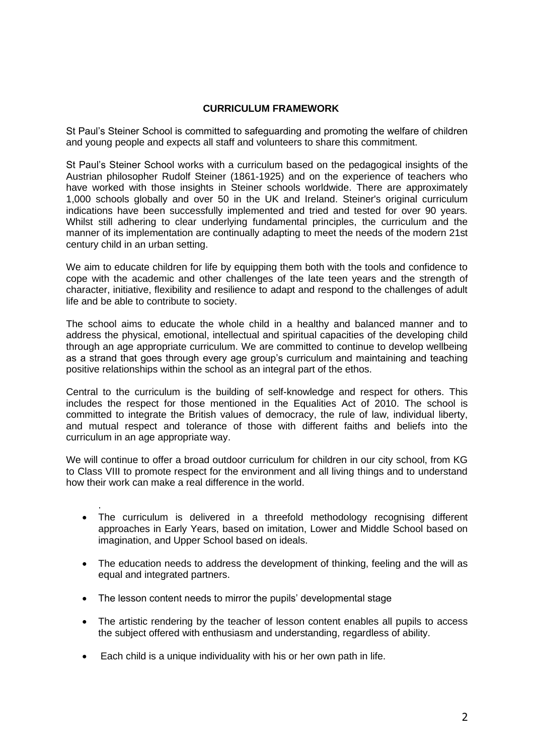## **CURRICULUM FRAMEWORK**

St Paul's Steiner School is committed to safeguarding and promoting the welfare of children and young people and expects all staff and volunteers to share this commitment.

St Paul's Steiner School works with a curriculum based on the pedagogical insights of the Austrian philosopher Rudolf Steiner (1861-1925) and on the experience of teachers who have worked with those insights in Steiner schools worldwide. There are approximately 1,000 schools globally and over 50 in the UK and Ireland. Steiner's original curriculum indications have been successfully implemented and tried and tested for over 90 years. Whilst still adhering to clear underlying fundamental principles, the curriculum and the manner of its implementation are continually adapting to meet the needs of the modern 21st century child in an urban setting.

We aim to educate children for life by equipping them both with the tools and confidence to cope with the academic and other challenges of the late teen years and the strength of character, initiative, flexibility and resilience to adapt and respond to the challenges of adult life and be able to contribute to society.

The school aims to educate the whole child in a healthy and balanced manner and to address the physical, emotional, intellectual and spiritual capacities of the developing child through an age appropriate curriculum. We are committed to continue to develop wellbeing as a strand that goes through every age group's curriculum and maintaining and teaching positive relationships within the school as an integral part of the ethos.

Central to the curriculum is the building of self-knowledge and respect for others. This includes the respect for those mentioned in the Equalities Act of 2010. The school is committed to integrate the British values of democracy, the rule of law, individual liberty, and mutual respect and tolerance of those with different faiths and beliefs into the curriculum in an age appropriate way.

We will continue to offer a broad outdoor curriculum for children in our city school, from KG to Class VIII to promote respect for the environment and all living things and to understand how their work can make a real difference in the world.

- The curriculum is delivered in a threefold methodology recognising different approaches in Early Years, based on imitation, Lower and Middle School based on imagination, and Upper School based on ideals.
- The education needs to address the development of thinking, feeling and the will as equal and integrated partners.
- The lesson content needs to mirror the pupils' developmental stage

.

- The artistic rendering by the teacher of lesson content enables all pupils to access the subject offered with enthusiasm and understanding, regardless of ability.
- Each child is a unique individuality with his or her own path in life.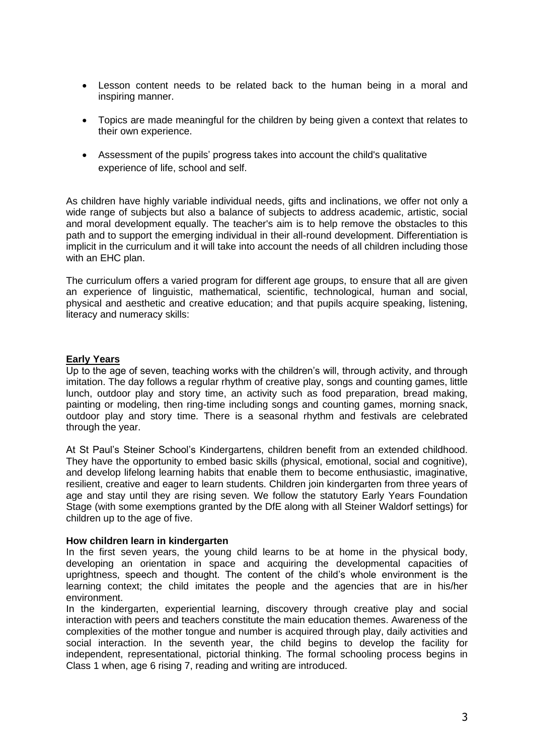- Lesson content needs to be related back to the human being in a moral and inspiring manner.
- Topics are made meaningful for the children by being given a context that relates to their own experience.
- Assessment of the pupils' progress takes into account the child's qualitative experience of life, school and self.

As children have highly variable individual needs, gifts and inclinations, we offer not only a wide range of subjects but also a balance of subjects to address academic, artistic, social and moral development equally. The teacher's aim is to help remove the obstacles to this path and to support the emerging individual in their all-round development. Differentiation is implicit in the curriculum and it will take into account the needs of all children including those with an EHC plan.

The curriculum offers a varied program for different age groups, to ensure that all are given an experience of linguistic, mathematical, scientific, technological, human and social, physical and aesthetic and creative education; and that pupils acquire speaking, listening, literacy and numeracy skills:

### **Early Years**

Up to the age of seven, teaching works with the children's will, through activity, and through imitation. The day follows a regular rhythm of creative play, songs and counting games, little lunch, outdoor play and story time, an activity such as food preparation, bread making, painting or modeling, then ring-time including songs and counting games, morning snack, outdoor play and story time. There is a seasonal rhythm and festivals are celebrated through the year.

At St Paul's Steiner School's Kindergartens, children benefit from an extended childhood. They have the opportunity to embed basic skills (physical, emotional, social and cognitive), and develop lifelong learning habits that enable them to become enthusiastic, imaginative, resilient, creative and eager to learn students. Children join kindergarten from three years of age and stay until they are rising seven. We follow the statutory Early Years Foundation Stage (with some exemptions granted by the DfE along with all Steiner Waldorf settings) for children up to the age of five.

#### **How children learn in kindergarten**

In the first seven years, the young child learns to be at home in the physical body, developing an orientation in space and acquiring the developmental capacities of uprightness, speech and thought. The content of the child's whole environment is the learning context; the child imitates the people and the agencies that are in his/her environment.

In the kindergarten, experiential learning, discovery through creative play and social interaction with peers and teachers constitute the main education themes. Awareness of the complexities of the mother tongue and number is acquired through play, daily activities and social interaction. In the seventh year, the child begins to develop the facility for independent, representational, pictorial thinking. The formal schooling process begins in Class 1 when, age 6 rising 7, reading and writing are introduced.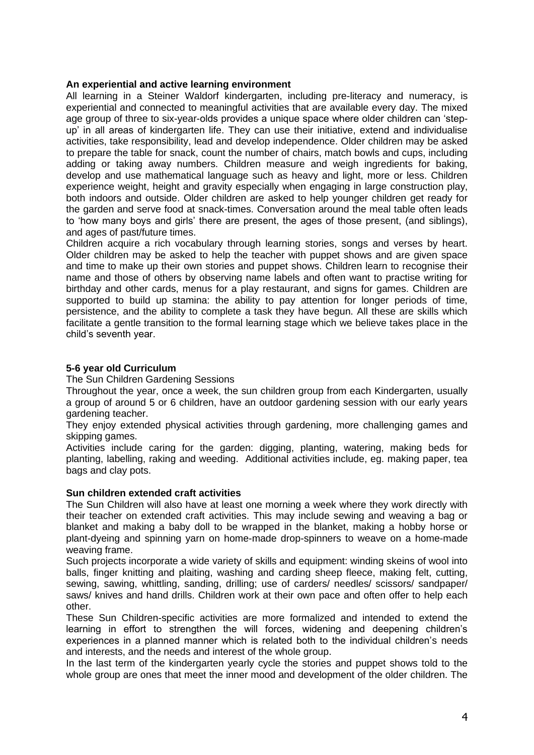#### **An experiential and active learning environment**

All learning in a Steiner Waldorf kindergarten, including pre-literacy and numeracy, is experiential and connected to meaningful activities that are available every day. The mixed age group of three to six-year-olds provides a unique space where older children can 'stepup' in all areas of kindergarten life. They can use their initiative, extend and individualise activities, take responsibility, lead and develop independence. Older children may be asked to prepare the table for snack, count the number of chairs, match bowls and cups, including adding or taking away numbers. Children measure and weigh ingredients for baking, develop and use mathematical language such as heavy and light, more or less. Children experience weight, height and gravity especially when engaging in large construction play, both indoors and outside. Older children are asked to help younger children get ready for the garden and serve food at snack-times. Conversation around the meal table often leads to 'how many boys and girls' there are present, the ages of those present, (and siblings), and ages of past/future times.

Children acquire a rich vocabulary through learning stories, songs and verses by heart. Older children may be asked to help the teacher with puppet shows and are given space and time to make up their own stories and puppet shows. Children learn to recognise their name and those of others by observing name labels and often want to practise writing for birthday and other cards, menus for a play restaurant, and signs for games. Children are supported to build up stamina: the ability to pay attention for longer periods of time, persistence, and the ability to complete a task they have begun. All these are skills which facilitate a gentle transition to the formal learning stage which we believe takes place in the child's seventh year.

## **5-6 year old Curriculum**

The Sun Children Gardening Sessions

Throughout the year, once a week, the sun children group from each Kindergarten, usually a group of around 5 or 6 children, have an outdoor gardening session with our early years gardening teacher.

They enjoy extended physical activities through gardening, more challenging games and skipping games.

Activities include caring for the garden: digging, planting, watering, making beds for planting, labelling, raking and weeding. Additional activities include, eg. making paper, tea bags and clay pots.

### **Sun children extended craft activities**

The Sun Children will also have at least one morning a week where they work directly with their teacher on extended craft activities. This may include sewing and weaving a bag or blanket and making a baby doll to be wrapped in the blanket, making a hobby horse or plant-dyeing and spinning yarn on home-made drop-spinners to weave on a home-made weaving frame.

Such projects incorporate a wide variety of skills and equipment: winding skeins of wool into balls, finger knitting and plaiting, washing and carding sheep fleece, making felt, cutting, sewing, sawing, whittling, sanding, drilling; use of carders/ needles/ scissors/ sandpaper/ saws/ knives and hand drills. Children work at their own pace and often offer to help each other.

These Sun Children-specific activities are more formalized and intended to extend the learning in effort to strengthen the will forces, widening and deepening children's experiences in a planned manner which is related both to the individual children's needs and interests, and the needs and interest of the whole group.

In the last term of the kindergarten yearly cycle the stories and puppet shows told to the whole group are ones that meet the inner mood and development of the older children. The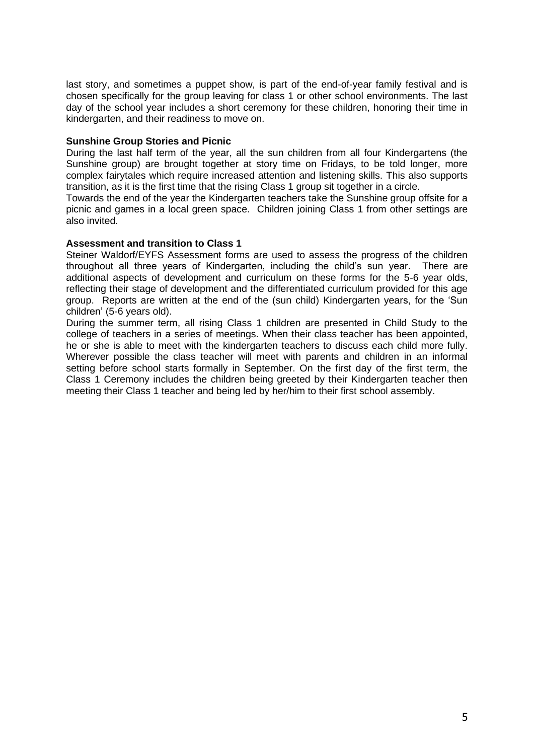last story, and sometimes a puppet show, is part of the end-of-year family festival and is chosen specifically for the group leaving for class 1 or other school environments. The last day of the school year includes a short ceremony for these children, honoring their time in kindergarten, and their readiness to move on.

#### **Sunshine Group Stories and Picnic**

During the last half term of the year, all the sun children from all four Kindergartens (the Sunshine group) are brought together at story time on Fridays, to be told longer, more complex fairytales which require increased attention and listening skills. This also supports transition, as it is the first time that the rising Class 1 group sit together in a circle.

Towards the end of the year the Kindergarten teachers take the Sunshine group offsite for a picnic and games in a local green space. Children joining Class 1 from other settings are also invited.

#### **Assessment and transition to Class 1**

Steiner Waldorf/EYFS Assessment forms are used to assess the progress of the children throughout all three years of Kindergarten, including the child's sun year. There are additional aspects of development and curriculum on these forms for the 5-6 year olds, reflecting their stage of development and the differentiated curriculum provided for this age group. Reports are written at the end of the (sun child) Kindergarten years, for the 'Sun children' (5-6 years old).

During the summer term, all rising Class 1 children are presented in Child Study to the college of teachers in a series of meetings. When their class teacher has been appointed, he or she is able to meet with the kindergarten teachers to discuss each child more fully. Wherever possible the class teacher will meet with parents and children in an informal setting before school starts formally in September. On the first day of the first term, the Class 1 Ceremony includes the children being greeted by their Kindergarten teacher then meeting their Class 1 teacher and being led by her/him to their first school assembly.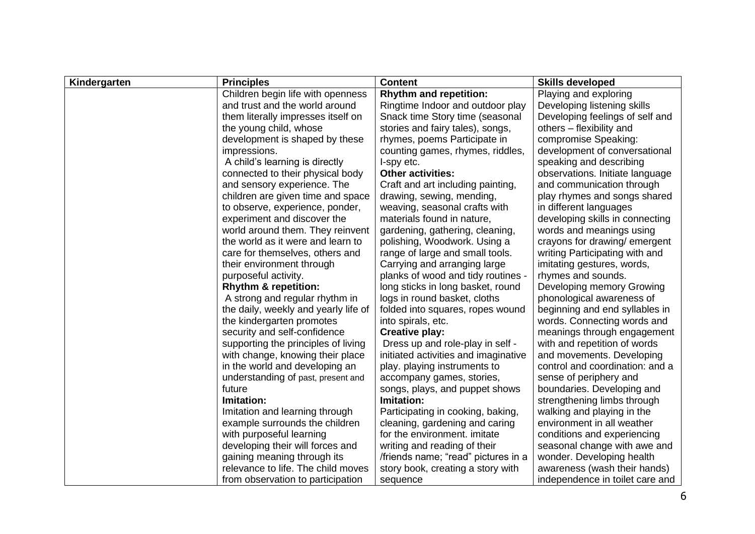| Kindergarten | <b>Principles</b>                    | <b>Content</b>                       | <b>Skills developed</b>         |
|--------------|--------------------------------------|--------------------------------------|---------------------------------|
|              | Children begin life with openness    | <b>Rhythm and repetition:</b>        | Playing and exploring           |
|              | and trust and the world around       | Ringtime Indoor and outdoor play     | Developing listening skills     |
|              | them literally impresses itself on   | Snack time Story time (seasonal      | Developing feelings of self and |
|              | the young child, whose               | stories and fairy tales), songs,     | others - flexibility and        |
|              | development is shaped by these       | rhymes, poems Participate in         | compromise Speaking:            |
|              | impressions.                         | counting games, rhymes, riddles,     | development of conversational   |
|              | A child's learning is directly       | I-spy etc.                           | speaking and describing         |
|              | connected to their physical body     | <b>Other activities:</b>             | observations. Initiate language |
|              | and sensory experience. The          | Craft and art including painting,    | and communication through       |
|              | children are given time and space    | drawing, sewing, mending,            | play rhymes and songs shared    |
|              | to observe, experience, ponder,      | weaving, seasonal crafts with        | in different languages          |
|              | experiment and discover the          | materials found in nature,           | developing skills in connecting |
|              | world around them. They reinvent     | gardening, gathering, cleaning,      | words and meanings using        |
|              | the world as it were and learn to    | polishing, Woodwork. Using a         | crayons for drawing/emergent    |
|              | care for themselves, others and      | range of large and small tools.      | writing Participating with and  |
|              | their environment through            | Carrying and arranging large         | imitating gestures, words,      |
|              | purposeful activity.                 | planks of wood and tidy routines -   | rhymes and sounds.              |
|              | <b>Rhythm &amp; repetition:</b>      | long sticks in long basket, round    | Developing memory Growing       |
|              | A strong and regular rhythm in       | logs in round basket, cloths         | phonological awareness of       |
|              | the daily, weekly and yearly life of | folded into squares, ropes wound     | beginning and end syllables in  |
|              | the kindergarten promotes            | into spirals, etc.                   | words. Connecting words and     |
|              | security and self-confidence         | <b>Creative play:</b>                | meanings through engagement     |
|              | supporting the principles of living  | Dress up and role-play in self -     | with and repetition of words    |
|              | with change, knowing their place     | initiated activities and imaginative | and movements. Developing       |
|              | in the world and developing an       | play. playing instruments to         | control and coordination: and a |
|              | understanding of past, present and   | accompany games, stories,            | sense of periphery and          |
|              | future                               | songs, plays, and puppet shows       | boundaries. Developing and      |
|              | Imitation:                           | Imitation:                           | strengthening limbs through     |
|              | Imitation and learning through       | Participating in cooking, baking,    | walking and playing in the      |
|              | example surrounds the children       | cleaning, gardening and caring       | environment in all weather      |
|              | with purposeful learning             | for the environment. imitate         | conditions and experiencing     |
|              | developing their will forces and     | writing and reading of their         | seasonal change with awe and    |
|              | gaining meaning through its          | /friends name; "read" pictures in a  | wonder. Developing health       |
|              | relevance to life. The child moves   | story book, creating a story with    | awareness (wash their hands)    |
|              | from observation to participation    | sequence                             | independence in toilet care and |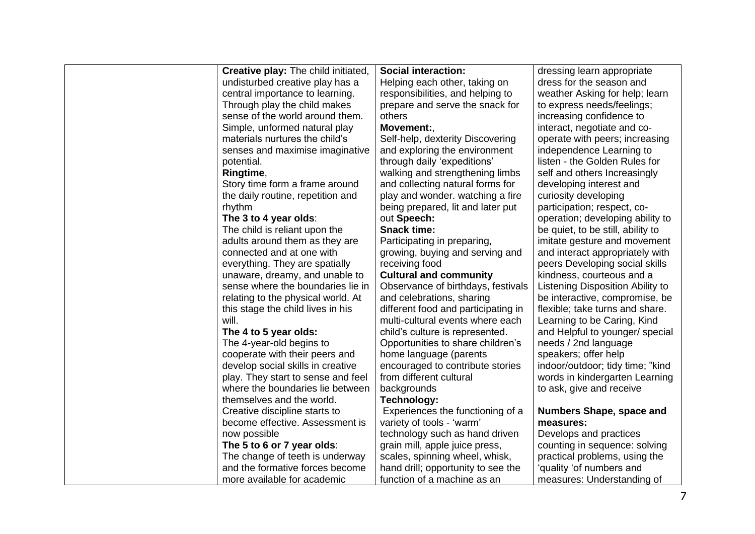| <b>Creative play:</b> The child initiated, | <b>Social interaction:</b>          | dressing learn appropriate        |
|--------------------------------------------|-------------------------------------|-----------------------------------|
| undisturbed creative play has a            | Helping each other, taking on       | dress for the season and          |
| central importance to learning.            | responsibilities, and helping to    | weather Asking for help; learn    |
| Through play the child makes               | prepare and serve the snack for     | to express needs/feelings;        |
| sense of the world around them.            | others                              | increasing confidence to          |
| Simple, unformed natural play              | Movement:,                          | interact, negotiate and co-       |
| materials nurtures the child's             | Self-help, dexterity Discovering    | operate with peers; increasing    |
| senses and maximise imaginative            | and exploring the environment       | independence Learning to          |
| potential.                                 | through daily 'expeditions'         | listen - the Golden Rules for     |
| Ringtime,                                  | walking and strengthening limbs     | self and others Increasingly      |
| Story time form a frame around             | and collecting natural forms for    | developing interest and           |
| the daily routine, repetition and          | play and wonder. watching a fire    | curiosity developing              |
| rhythm                                     | being prepared, lit and later put   | participation; respect, co-       |
| The 3 to 4 year olds:                      | out Speech:                         | operation; developing ability to  |
| The child is reliant upon the              | <b>Snack time:</b>                  | be quiet, to be still, ability to |
| adults around them as they are             | Participating in preparing,         | imitate gesture and movement      |
| connected and at one with                  | growing, buying and serving and     | and interact appropriately with   |
| everything. They are spatially             | receiving food                      | peers Developing social skills    |
| unaware, dreamy, and unable to             | <b>Cultural and community</b>       | kindness, courteous and a         |
| sense where the boundaries lie in          | Observance of birthdays, festivals  | Listening Disposition Ability to  |
| relating to the physical world. At         | and celebrations, sharing           | be interactive, compromise, be    |
| this stage the child lives in his          | different food and participating in | flexible; take turns and share.   |
| will.                                      | multi-cultural events where each    | Learning to be Caring, Kind       |
| The 4 to 5 year olds:                      | child's culture is represented.     | and Helpful to younger/ special   |
| The 4-year-old begins to                   | Opportunities to share children's   | needs / 2nd language              |
| cooperate with their peers and             | home language (parents              | speakers; offer help              |
| develop social skills in creative          | encouraged to contribute stories    | indoor/outdoor; tidy time; "kind  |
| play. They start to sense and feel         | from different cultural             | words in kindergarten Learning    |
| where the boundaries lie between           | backgrounds                         | to ask, give and receive          |
| themselves and the world.                  | Technology:                         |                                   |
| Creative discipline starts to              | Experiences the functioning of a    | <b>Numbers Shape, space and</b>   |
| become effective. Assessment is            | variety of tools - 'warm'           | measures:                         |
| now possible                               | technology such as hand driven      | Develops and practices            |
| The 5 to 6 or 7 year olds:                 | grain mill, apple juice press,      | counting in sequence: solving     |
| The change of teeth is underway            | scales, spinning wheel, whisk,      | practical problems, using the     |
| and the formative forces become            | hand drill; opportunity to see the  | 'quality 'of numbers and          |
| more available for academic                | function of a machine as an         | measures: Understanding of        |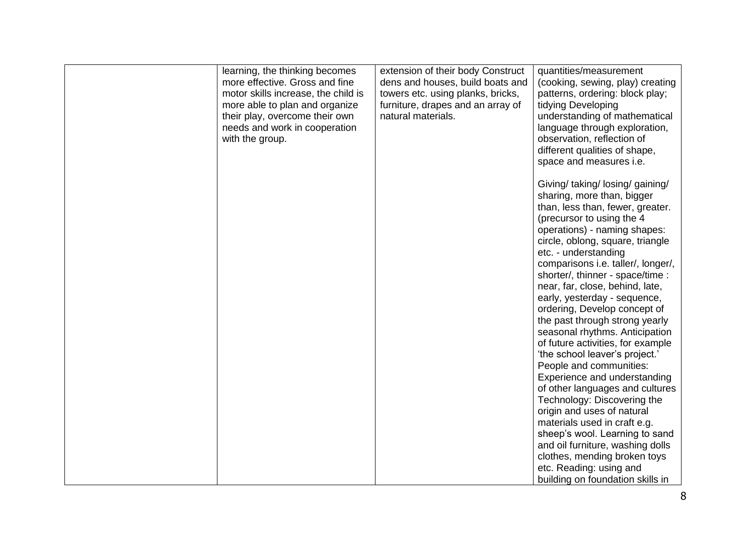| learning, the thinking becomes<br>more effective. Gross and fine<br>motor skills increase, the child is<br>more able to plan and organize<br>their play, overcome their own<br>needs and work in cooperation<br>with the group. | extension of their body Construct<br>dens and houses, build boats and<br>towers etc. using planks, bricks,<br>furniture, drapes and an array of<br>natural materials. | quantities/measurement<br>(cooking, sewing, play) creating<br>patterns, ordering: block play;<br>tidying Developing<br>understanding of mathematical<br>language through exploration,<br>observation, reflection of<br>different qualities of shape,<br>space and measures i.e.                                                                                                                                                                                                                                                                                                                                                                                                                                 |
|---------------------------------------------------------------------------------------------------------------------------------------------------------------------------------------------------------------------------------|-----------------------------------------------------------------------------------------------------------------------------------------------------------------------|-----------------------------------------------------------------------------------------------------------------------------------------------------------------------------------------------------------------------------------------------------------------------------------------------------------------------------------------------------------------------------------------------------------------------------------------------------------------------------------------------------------------------------------------------------------------------------------------------------------------------------------------------------------------------------------------------------------------|
|                                                                                                                                                                                                                                 |                                                                                                                                                                       | Giving/ taking/ losing/ gaining/<br>sharing, more than, bigger<br>than, less than, fewer, greater.<br>(precursor to using the 4)<br>operations) - naming shapes:<br>circle, oblong, square, triangle<br>etc. - understanding<br>comparisons i.e. taller/, longer/,<br>shorter/, thinner - space/time :<br>near, far, close, behind, late,<br>early, yesterday - sequence,<br>ordering, Develop concept of<br>the past through strong yearly<br>seasonal rhythms. Anticipation<br>of future activities, for example<br>'the school leaver's project.'<br>People and communities:<br>Experience and understanding<br>of other languages and cultures<br>Technology: Discovering the<br>origin and uses of natural |
|                                                                                                                                                                                                                                 |                                                                                                                                                                       | materials used in craft e.g.<br>sheep's wool. Learning to sand<br>and oil furniture, washing dolls<br>clothes, mending broken toys<br>etc. Reading: using and<br>building on foundation skills in                                                                                                                                                                                                                                                                                                                                                                                                                                                                                                               |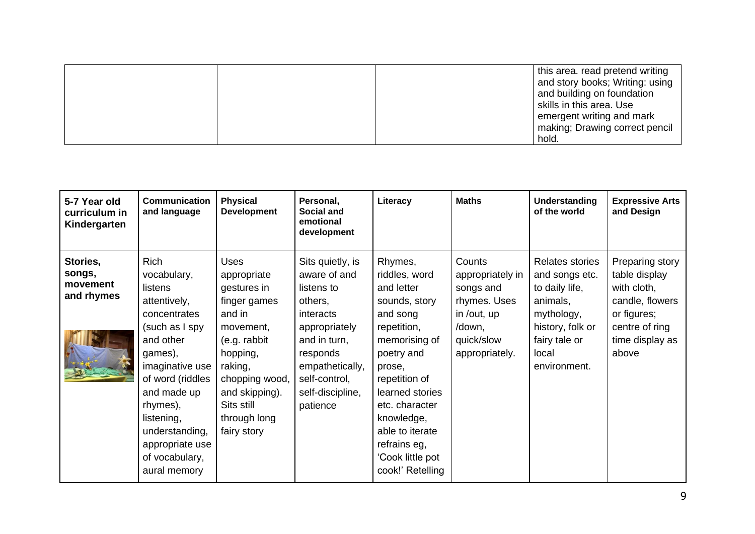this area. read pretend writing and story books; Writing: using and building on foundation skills in this area. Use emergent writing and mark making; Drawing correct pencil hold.

| 5-7 Year old<br>curriculum in<br>Kindergarten | Communication<br>and language                                                                                                                                                                                                                                   | <b>Physical</b><br><b>Development</b>                                                                                                                                                                    | Personal,<br>Social and<br>emotional<br>development                                                                                                                                     | Literacy                                                                                                                                                                                                                                                                   | <b>Maths</b>                                                                                                     | Understanding<br>of the world                                                                                                               | <b>Expressive Arts</b><br>and Design                                                                                            |
|-----------------------------------------------|-----------------------------------------------------------------------------------------------------------------------------------------------------------------------------------------------------------------------------------------------------------------|----------------------------------------------------------------------------------------------------------------------------------------------------------------------------------------------------------|-----------------------------------------------------------------------------------------------------------------------------------------------------------------------------------------|----------------------------------------------------------------------------------------------------------------------------------------------------------------------------------------------------------------------------------------------------------------------------|------------------------------------------------------------------------------------------------------------------|---------------------------------------------------------------------------------------------------------------------------------------------|---------------------------------------------------------------------------------------------------------------------------------|
| Stories,<br>songs,<br>movement<br>and rhymes  | Rich<br>vocabulary,<br>listens<br>attentively,<br>concentrates<br>(such as I spy<br>and other<br>games),<br>imaginative use<br>of word (riddles<br>and made up<br>rhymes),<br>listening,<br>understanding,<br>appropriate use<br>of vocabulary,<br>aural memory | <b>Uses</b><br>appropriate<br>gestures in<br>finger games<br>and in<br>movement,<br>(e.g. rabbit<br>hopping,<br>raking,<br>chopping wood,<br>and skipping).<br>Sits still<br>through long<br>fairy story | Sits quietly, is<br>aware of and<br>listens to<br>others,<br>interacts<br>appropriately<br>and in turn,<br>responds<br>empathetically,<br>self-control,<br>self-discipline,<br>patience | Rhymes,<br>riddles, word<br>and letter<br>sounds, story<br>and song<br>repetition,<br>memorising of<br>poetry and<br>prose,<br>repetition of<br>learned stories<br>etc. character<br>knowledge,<br>able to iterate<br>refrains eg,<br>'Cook little pot<br>cook!' Retelling | Counts<br>appropriately in<br>songs and<br>rhymes. Uses<br>in /out, up<br>/down,<br>quick/slow<br>appropriately. | Relates stories<br>and songs etc.<br>to daily life,<br>animals,<br>mythology,<br>history, folk or<br>fairy tale or<br>local<br>environment. | Preparing story<br>table display<br>with cloth,<br>candle, flowers<br>or figures;<br>centre of ring<br>time display as<br>above |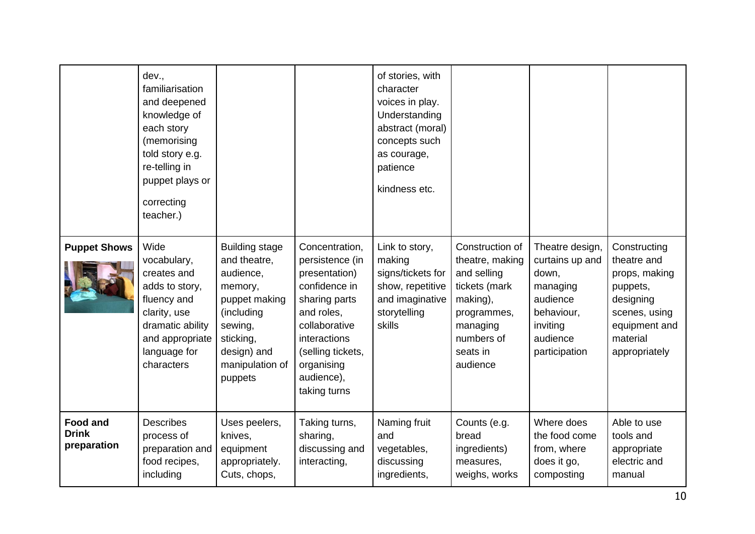|                                                | dev.,<br>familiarisation<br>and deepened<br>knowledge of<br>each story<br>(memorising<br>told story e.g.<br>re-telling in<br>puppet plays or<br>correcting<br>teacher.) |                                                                                                                                                                   |                                                                                                                                                                                                      | of stories, with<br>character<br>voices in play.<br>Understanding<br>abstract (moral)<br>concepts such<br>as courage,<br>patience<br>kindness etc. |                                                                                                                                                 |                                                                                                                            |                                                                                                                                      |
|------------------------------------------------|-------------------------------------------------------------------------------------------------------------------------------------------------------------------------|-------------------------------------------------------------------------------------------------------------------------------------------------------------------|------------------------------------------------------------------------------------------------------------------------------------------------------------------------------------------------------|----------------------------------------------------------------------------------------------------------------------------------------------------|-------------------------------------------------------------------------------------------------------------------------------------------------|----------------------------------------------------------------------------------------------------------------------------|--------------------------------------------------------------------------------------------------------------------------------------|
| <b>Puppet Shows</b>                            | Wide<br>vocabulary,<br>creates and<br>adds to story,<br>fluency and<br>clarity, use<br>dramatic ability<br>and appropriate<br>language for<br>characters                | <b>Building stage</b><br>and theatre,<br>audience,<br>memory,<br>puppet making<br>(including<br>sewing,<br>sticking,<br>design) and<br>manipulation of<br>puppets | Concentration,<br>persistence (in<br>presentation)<br>confidence in<br>sharing parts<br>and roles,<br>collaborative<br>interactions<br>(selling tickets,<br>organising<br>audience),<br>taking turns | Link to story,<br>making<br>signs/tickets for<br>show, repetitive<br>and imaginative<br>storytelling<br>skills                                     | Construction of<br>theatre, making<br>and selling<br>tickets (mark<br>making),<br>programmes,<br>managing<br>numbers of<br>seats in<br>audience | Theatre design,<br>curtains up and<br>down,<br>managing<br>audience<br>behaviour,<br>inviting<br>audience<br>participation | Constructing<br>theatre and<br>props, making<br>puppets,<br>designing<br>scenes, using<br>equipment and<br>material<br>appropriately |
| <b>Food and</b><br><b>Drink</b><br>preparation | <b>Describes</b><br>process of<br>preparation and<br>food recipes,<br>including                                                                                         | Uses peelers,<br>knives,<br>equipment<br>appropriately.<br>Cuts, chops,                                                                                           | Taking turns,<br>sharing,<br>discussing and<br>interacting,                                                                                                                                          | Naming fruit<br>and<br>vegetables,<br>discussing<br>ingredients,                                                                                   | Counts (e.g.<br>bread<br>ingredients)<br>measures,<br>weighs, works                                                                             | Where does<br>the food come<br>from, where<br>does it go,<br>composting                                                    | Able to use<br>tools and<br>appropriate<br>electric and<br>manual                                                                    |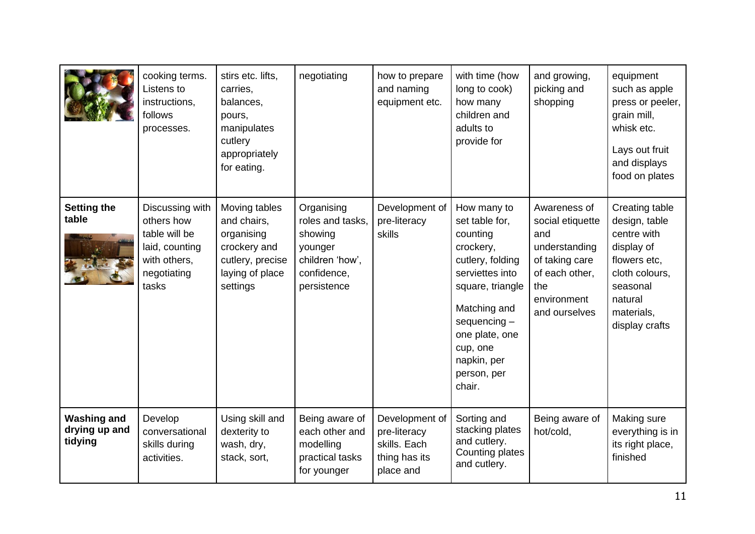|                                                | cooking terms.<br>Listens to<br>instructions,<br>follows<br>processes.                                   | stirs etc. lifts,<br>carries,<br>balances,<br>pours,<br>manipulates<br>cutlery<br>appropriately<br>for eating. | negotiating                                                                                           | how to prepare<br>and naming<br>equipment etc.                               | with time (how<br>long to cook)<br>how many<br>children and<br>adults to<br>provide for                                                                                                                                   | and growing,<br>picking and<br>shopping                                                                                             | equipment<br>such as apple<br>press or peeler,<br>grain mill,<br>whisk etc.<br>Lays out fruit<br>and displays<br>food on plates                       |
|------------------------------------------------|----------------------------------------------------------------------------------------------------------|----------------------------------------------------------------------------------------------------------------|-------------------------------------------------------------------------------------------------------|------------------------------------------------------------------------------|---------------------------------------------------------------------------------------------------------------------------------------------------------------------------------------------------------------------------|-------------------------------------------------------------------------------------------------------------------------------------|-------------------------------------------------------------------------------------------------------------------------------------------------------|
| <b>Setting the</b><br>table                    | Discussing with<br>others how<br>table will be<br>laid, counting<br>with others,<br>negotiating<br>tasks | Moving tables<br>and chairs,<br>organising<br>crockery and<br>cutlery, precise<br>laying of place<br>settings  | Organising<br>roles and tasks,<br>showing<br>younger<br>children 'how',<br>confidence,<br>persistence | Development of<br>pre-literacy<br>skills                                     | How many to<br>set table for,<br>counting<br>crockery,<br>cutlery, folding<br>serviettes into<br>square, triangle<br>Matching and<br>$sequencing -$<br>one plate, one<br>cup, one<br>napkin, per<br>person, per<br>chair. | Awareness of<br>social etiquette<br>and<br>understanding<br>of taking care<br>of each other,<br>the<br>environment<br>and ourselves | Creating table<br>design, table<br>centre with<br>display of<br>flowers etc,<br>cloth colours,<br>seasonal<br>natural<br>materials,<br>display crafts |
| <b>Washing and</b><br>drying up and<br>tidying | Develop<br>conversational<br>skills during<br>activities.                                                | Using skill and<br>dexterity to<br>wash, dry,<br>stack, sort,                                                  | Being aware of<br>each other and<br>modelling<br>practical tasks<br>for younger                       | Development of<br>pre-literacy<br>skills. Each<br>thing has its<br>place and | Sorting and<br>stacking plates<br>and cutlery.<br>Counting plates<br>and cutlery.                                                                                                                                         | Being aware of<br>hot/cold,                                                                                                         | Making sure<br>everything is in<br>its right place,<br>finished                                                                                       |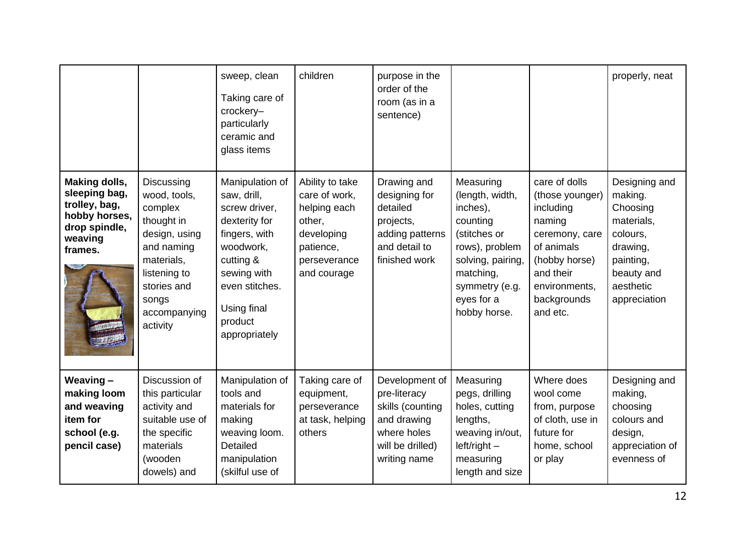|                                                                                                                |                                                                                                                                                                      | sweep, clean<br>Taking care of<br>crockery-<br>particularly<br>ceramic and<br>glass items                                                                                               | children                                                                                                             | purpose in the<br>order of the<br>room (as in a<br>sentence)                                                         |                                                                                                                                                                          |                                                                                                                                                                   | properly, neat                                                                                                                     |
|----------------------------------------------------------------------------------------------------------------|----------------------------------------------------------------------------------------------------------------------------------------------------------------------|-----------------------------------------------------------------------------------------------------------------------------------------------------------------------------------------|----------------------------------------------------------------------------------------------------------------------|----------------------------------------------------------------------------------------------------------------------|--------------------------------------------------------------------------------------------------------------------------------------------------------------------------|-------------------------------------------------------------------------------------------------------------------------------------------------------------------|------------------------------------------------------------------------------------------------------------------------------------|
| <b>Making dolls,</b><br>sleeping bag,<br>trolley, bag,<br>hobby horses,<br>drop spindle,<br>weaving<br>frames. | Discussing<br>wood, tools,<br>complex<br>thought in<br>design, using<br>and naming<br>materials,<br>listening to<br>stories and<br>songs<br>accompanying<br>activity | Manipulation of<br>saw, drill,<br>screw driver,<br>dexterity for<br>fingers, with<br>woodwork,<br>cutting &<br>sewing with<br>even stitches.<br>Using final<br>product<br>appropriately | Ability to take<br>care of work,<br>helping each<br>other,<br>developing<br>patience,<br>perseverance<br>and courage | Drawing and<br>designing for<br>detailed<br>projects,<br>adding patterns<br>and detail to<br>finished work           | Measuring<br>(length, width,<br>inches),<br>counting<br>(stitches or<br>rows), problem<br>solving, pairing,<br>matching,<br>symmetry (e.g.<br>eyes for a<br>hobby horse. | care of dolls<br>(those younger)<br>including<br>naming<br>ceremony, care<br>of animals<br>(hobby horse)<br>and their<br>environments,<br>backgrounds<br>and etc. | Designing and<br>making.<br>Choosing<br>materials,<br>colours,<br>drawing,<br>painting,<br>beauty and<br>aesthetic<br>appreciation |
| Weaving-<br>making loom<br>and weaving<br>item for<br>school (e.g.<br>pencil case)                             | Discussion of<br>this particular<br>activity and<br>suitable use of<br>the specific<br>materials<br>(wooden<br>dowels) and                                           | Manipulation of<br>tools and<br>materials for<br>making<br>weaving loom.<br>Detailed<br>manipulation<br>(skilful use of                                                                 | Taking care of<br>equipment,<br>perseverance<br>at task, helping<br>others                                           | Development of<br>pre-literacy<br>skills (counting<br>and drawing<br>where holes<br>will be drilled)<br>writing name | Measuring<br>pegs, drilling<br>holes, cutting<br>lengths,<br>weaving in/out,<br>$left/right -$<br>measuring<br>length and size                                           | Where does<br>wool come<br>from, purpose<br>of cloth, use in<br>future for<br>home, school<br>or play                                                             | Designing and<br>making,<br>choosing<br>colours and<br>design,<br>appreciation of<br>evenness of                                   |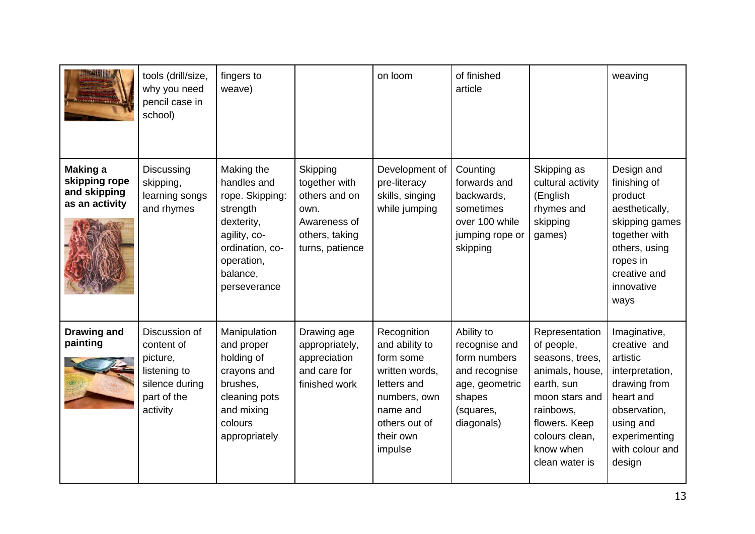| <b>IFERFIT LENGTH</b>                                              | tools (drill/size,<br>why you need<br>pencil case in<br>school)                                      | fingers to<br>weave)                                                                                                                                |                                                                                                         | on loom                                                                                                                                          | of finished<br>article                                                                                              |                                                                                                                                                                                   | weaving                                                                                                                                                             |
|--------------------------------------------------------------------|------------------------------------------------------------------------------------------------------|-----------------------------------------------------------------------------------------------------------------------------------------------------|---------------------------------------------------------------------------------------------------------|--------------------------------------------------------------------------------------------------------------------------------------------------|---------------------------------------------------------------------------------------------------------------------|-----------------------------------------------------------------------------------------------------------------------------------------------------------------------------------|---------------------------------------------------------------------------------------------------------------------------------------------------------------------|
| <b>Making a</b><br>skipping rope<br>and skipping<br>as an activity | Discussing<br>skipping,<br>learning songs<br>and rhymes                                              | Making the<br>handles and<br>rope. Skipping:<br>strength<br>dexterity,<br>agility, co-<br>ordination, co-<br>operation,<br>balance,<br>perseverance | Skipping<br>together with<br>others and on<br>own.<br>Awareness of<br>others, taking<br>turns, patience | Development of<br>pre-literacy<br>skills, singing<br>while jumping                                                                               | Counting<br>forwards and<br>backwards,<br>sometimes<br>over 100 while<br>jumping rope or<br>skipping                | Skipping as<br>cultural activity<br>(English<br>rhymes and<br>skipping<br>games)                                                                                                  | Design and<br>finishing of<br>product<br>aesthetically,<br>skipping games<br>together with<br>others, using<br>ropes in<br>creative and<br>innovative<br>ways       |
| <b>Drawing and</b><br>painting                                     | Discussion of<br>content of<br>picture,<br>listening to<br>silence during<br>part of the<br>activity | Manipulation<br>and proper<br>holding of<br>crayons and<br>brushes,<br>cleaning pots<br>and mixing<br>colours<br>appropriately                      | Drawing age<br>appropriately,<br>appreciation<br>and care for<br>finished work                          | Recognition<br>and ability to<br>form some<br>written words,<br>letters and<br>numbers, own<br>name and<br>others out of<br>their own<br>impulse | Ability to<br>recognise and<br>form numbers<br>and recognise<br>age, geometric<br>shapes<br>(squares,<br>diagonals) | Representation<br>of people,<br>seasons, trees,<br>animals, house,<br>earth, sun<br>moon stars and<br>rainbows,<br>flowers. Keep<br>colours clean,<br>know when<br>clean water is | Imaginative,<br>creative and<br>artistic<br>interpretation,<br>drawing from<br>heart and<br>observation,<br>using and<br>experimenting<br>with colour and<br>design |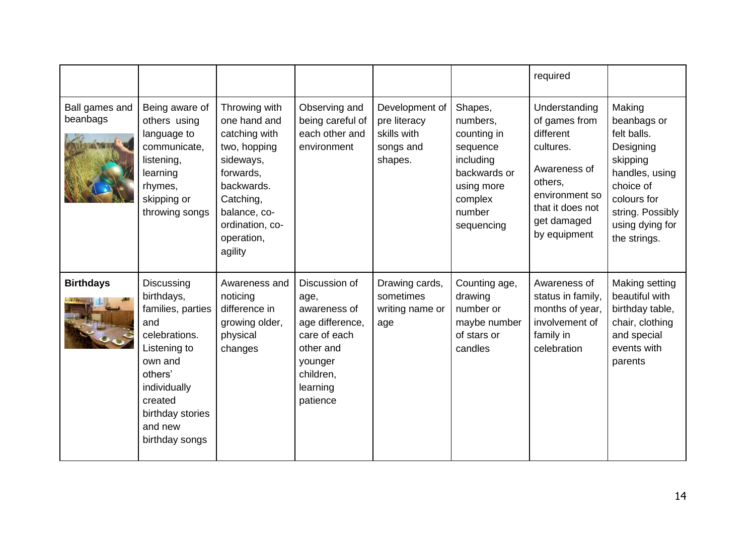|                            |                                                                                                                                                                                         |                                                                                                                                                                                 |                                                                                                                                       |                                                                       |                                                                                                                              | required                                                                                                                                                 |                                                                                                                                                                    |
|----------------------------|-----------------------------------------------------------------------------------------------------------------------------------------------------------------------------------------|---------------------------------------------------------------------------------------------------------------------------------------------------------------------------------|---------------------------------------------------------------------------------------------------------------------------------------|-----------------------------------------------------------------------|------------------------------------------------------------------------------------------------------------------------------|----------------------------------------------------------------------------------------------------------------------------------------------------------|--------------------------------------------------------------------------------------------------------------------------------------------------------------------|
| Ball games and<br>beanbags | Being aware of<br>others using<br>language to<br>communicate,<br>listening,<br>learning<br>rhymes,<br>skipping or<br>throwing songs                                                     | Throwing with<br>one hand and<br>catching with<br>two, hopping<br>sideways,<br>forwards,<br>backwards.<br>Catching,<br>balance, co-<br>ordination, co-<br>operation,<br>agility | Observing and<br>being careful of<br>each other and<br>environment                                                                    | Development of<br>pre literacy<br>skills with<br>songs and<br>shapes. | Shapes,<br>numbers,<br>counting in<br>sequence<br>including<br>backwards or<br>using more<br>complex<br>number<br>sequencing | Understanding<br>of games from<br>different<br>cultures.<br>Awareness of<br>others,<br>environment so<br>that it does not<br>get damaged<br>by equipment | Making<br>beanbags or<br>felt balls.<br>Designing<br>skipping<br>handles, using<br>choice of<br>colours for<br>string. Possibly<br>using dying for<br>the strings. |
| <b>Birthdays</b>           | Discussing<br>birthdays,<br>families, parties<br>and<br>celebrations.<br>Listening to<br>own and<br>others'<br>individually<br>created<br>birthday stories<br>and new<br>birthday songs | Awareness and<br>noticing<br>difference in<br>growing older,<br>physical<br>changes                                                                                             | Discussion of<br>age,<br>awareness of<br>age difference,<br>care of each<br>other and<br>younger<br>children,<br>learning<br>patience | Drawing cards,<br>sometimes<br>writing name or<br>age                 | Counting age,<br>drawing<br>number or<br>maybe number<br>of stars or<br>candles                                              | Awareness of<br>status in family,<br>months of year,<br>involvement of<br>family in<br>celebration                                                       | Making setting<br>beautiful with<br>birthday table,<br>chair, clothing<br>and special<br>events with<br>parents                                                    |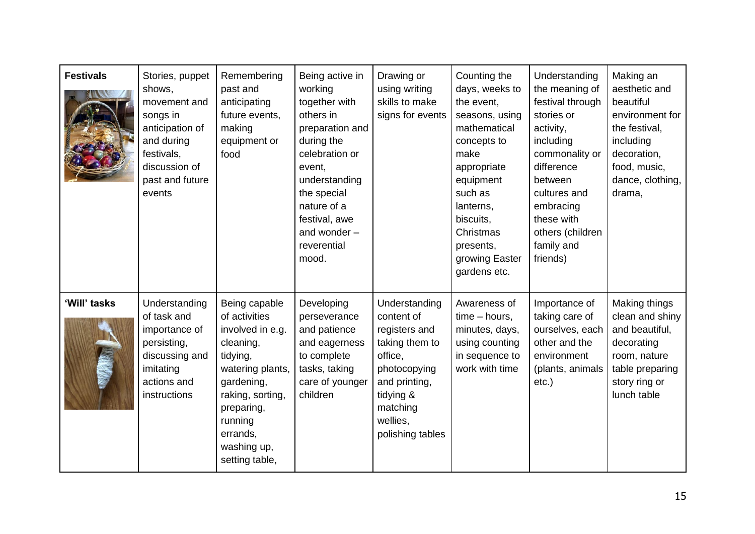| <b>Festivals</b> | Stories, puppet<br>shows,<br>movement and<br>songs in<br>anticipation of<br>and during<br>festivals,<br>discussion of<br>past and future<br>events | Remembering<br>past and<br>anticipating<br>future events,<br>making<br>equipment or<br>food                                                                                                             | Being active in<br>working<br>together with<br>others in<br>preparation and<br>during the<br>celebration or<br>event,<br>understanding<br>the special<br>nature of a<br>festival, awe<br>and wonder -<br>reverential<br>mood. | Drawing or<br>using writing<br>skills to make<br>signs for events                                                                                                   | Counting the<br>days, weeks to<br>the event,<br>seasons, using<br>mathematical<br>concepts to<br>make<br>appropriate<br>equipment<br>such as<br>lanterns,<br>biscuits,<br>Christmas<br>presents,<br>growing Easter<br>gardens etc. | Understanding<br>the meaning of<br>festival through<br>stories or<br>activity,<br>including<br>commonality or<br>difference<br>between<br>cultures and<br>embracing<br>these with<br>others (children<br>family and<br>friends) | Making an<br>aesthetic and<br>beautiful<br>environment for<br>the festival,<br>including<br>decoration,<br>food, music,<br>dance, clothing,<br>drama, |
|------------------|----------------------------------------------------------------------------------------------------------------------------------------------------|---------------------------------------------------------------------------------------------------------------------------------------------------------------------------------------------------------|-------------------------------------------------------------------------------------------------------------------------------------------------------------------------------------------------------------------------------|---------------------------------------------------------------------------------------------------------------------------------------------------------------------|------------------------------------------------------------------------------------------------------------------------------------------------------------------------------------------------------------------------------------|---------------------------------------------------------------------------------------------------------------------------------------------------------------------------------------------------------------------------------|-------------------------------------------------------------------------------------------------------------------------------------------------------|
| 'Will' tasks     | Understanding<br>of task and<br>importance of<br>persisting,<br>discussing and<br>imitating<br>actions and<br>instructions                         | Being capable<br>of activities<br>involved in e.g.<br>cleaning,<br>tidying,<br>watering plants,<br>gardening,<br>raking, sorting,<br>preparing,<br>running<br>errands,<br>washing up,<br>setting table, | Developing<br>perseverance<br>and patience<br>and eagerness<br>to complete<br>tasks, taking<br>care of younger<br>children                                                                                                    | Understanding<br>content of<br>registers and<br>taking them to<br>office,<br>photocopying<br>and printing,<br>tidying &<br>matching<br>wellies,<br>polishing tables | Awareness of<br>$time - hours$ ,<br>minutes, days,<br>using counting<br>in sequence to<br>work with time                                                                                                                           | Importance of<br>taking care of<br>ourselves, each<br>other and the<br>environment<br>(plants, animals<br>$etc.$ )                                                                                                              | Making things<br>clean and shiny<br>and beautiful,<br>decorating<br>room, nature<br>table preparing<br>story ring or<br>lunch table                   |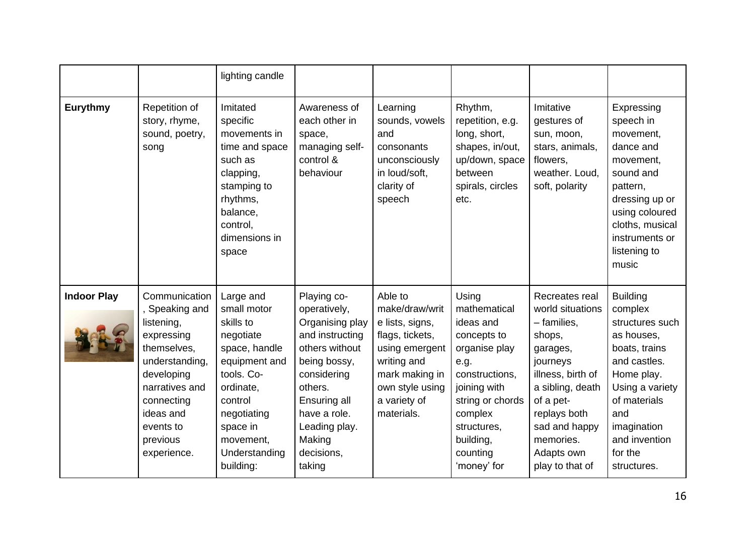|                    |                                                                                                                                                                                               | lighting candle                                                                                                                                                                                  |                                                                                                                                                                                                                  |                                                                                                                                                                     |                                                                                                                                                                                                    |                                                                                                                                                                                                                          |                                                                                                                                                                                                                |
|--------------------|-----------------------------------------------------------------------------------------------------------------------------------------------------------------------------------------------|--------------------------------------------------------------------------------------------------------------------------------------------------------------------------------------------------|------------------------------------------------------------------------------------------------------------------------------------------------------------------------------------------------------------------|---------------------------------------------------------------------------------------------------------------------------------------------------------------------|----------------------------------------------------------------------------------------------------------------------------------------------------------------------------------------------------|--------------------------------------------------------------------------------------------------------------------------------------------------------------------------------------------------------------------------|----------------------------------------------------------------------------------------------------------------------------------------------------------------------------------------------------------------|
| <b>Eurythmy</b>    | Repetition of<br>story, rhyme,<br>sound, poetry,<br>song                                                                                                                                      | Imitated<br>specific<br>movements in<br>time and space<br>such as<br>clapping,<br>stamping to<br>rhythms,<br>balance,<br>control,<br>dimensions in<br>space                                      | Awareness of<br>each other in<br>space,<br>managing self-<br>control &<br>behaviour                                                                                                                              | Learning<br>sounds, vowels<br>and<br>consonants<br>unconsciously<br>in loud/soft,<br>clarity of<br>speech                                                           | Rhythm,<br>repetition, e.g.<br>long, short,<br>shapes, in/out,<br>up/down, space<br>between<br>spirals, circles<br>etc.                                                                            | Imitative<br>gestures of<br>sun, moon,<br>stars, animals,<br>flowers,<br>weather. Loud,<br>soft, polarity                                                                                                                | Expressing<br>speech in<br>movement,<br>dance and<br>movement,<br>sound and<br>pattern,<br>dressing up or<br>using coloured<br>cloths, musical<br>instruments or<br>listening to<br>music                      |
| <b>Indoor Play</b> | Communication<br>Speaking and<br>listening,<br>expressing<br>themselves,<br>understanding,<br>developing<br>narratives and<br>connecting<br>ideas and<br>events to<br>previous<br>experience. | Large and<br>small motor<br>skills to<br>negotiate<br>space, handle<br>equipment and<br>tools. Co-<br>ordinate,<br>control<br>negotiating<br>space in<br>movement,<br>Understanding<br>building: | Playing co-<br>operatively,<br>Organising play<br>and instructing<br>others without<br>being bossy,<br>considering<br>others.<br>Ensuring all<br>have a role.<br>Leading play.<br>Making<br>decisions,<br>taking | Able to<br>make/draw/writ<br>e lists, signs,<br>flags, tickets,<br>using emergent<br>writing and<br>mark making in<br>own style using<br>a variety of<br>materials. | Using<br>mathematical<br>ideas and<br>concepts to<br>organise play<br>e.g.<br>constructions,<br>joining with<br>string or chords<br>complex<br>structures,<br>building,<br>counting<br>'money' for | Recreates real<br>world situations<br>- families,<br>shops,<br>garages,<br>journeys<br>illness, birth of<br>a sibling, death<br>of a pet-<br>replays both<br>sad and happy<br>memories.<br>Adapts own<br>play to that of | <b>Building</b><br>complex<br>structures such<br>as houses,<br>boats, trains<br>and castles.<br>Home play.<br>Using a variety<br>of materials<br>and<br>imagination<br>and invention<br>for the<br>structures. |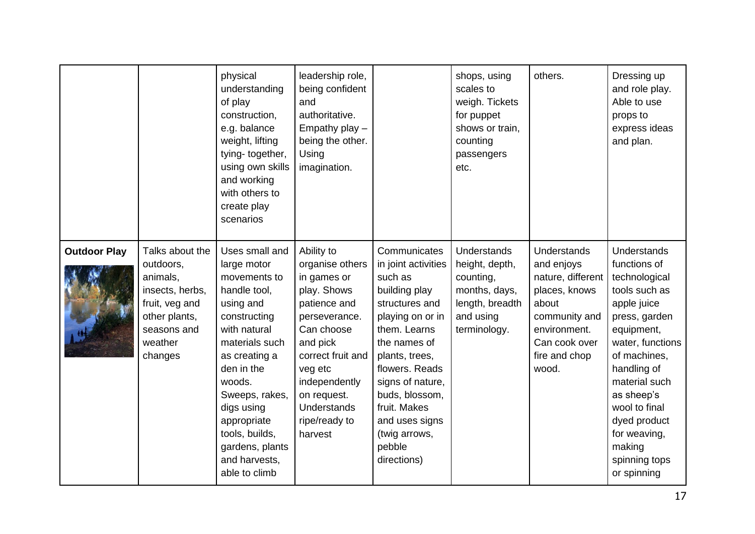|                     |                                                                                                                                     | physical<br>understanding<br>of play<br>construction,<br>e.g. balance<br>weight, lifting<br>tying-together,<br>using own skills<br>and working<br>with others to<br>create play<br>scenarios                                                                                                | leadership role,<br>being confident<br>and<br>authoritative.<br>Empathy play -<br>being the other.<br>Using<br>imagination.                                                                                                              |                                                                                                                                                                                                                                                                                             | shops, using<br>scales to<br>weigh. Tickets<br>for puppet<br>shows or train,<br>counting<br>passengers<br>etc.     | others.                                                                                                                                                     | Dressing up<br>and role play.<br>Able to use<br>props to<br>express ideas<br>and plan.                                                                                                                                                                                                   |
|---------------------|-------------------------------------------------------------------------------------------------------------------------------------|---------------------------------------------------------------------------------------------------------------------------------------------------------------------------------------------------------------------------------------------------------------------------------------------|------------------------------------------------------------------------------------------------------------------------------------------------------------------------------------------------------------------------------------------|---------------------------------------------------------------------------------------------------------------------------------------------------------------------------------------------------------------------------------------------------------------------------------------------|--------------------------------------------------------------------------------------------------------------------|-------------------------------------------------------------------------------------------------------------------------------------------------------------|------------------------------------------------------------------------------------------------------------------------------------------------------------------------------------------------------------------------------------------------------------------------------------------|
| <b>Outdoor Play</b> | Talks about the<br>outdoors,<br>animals,<br>insects, herbs,<br>fruit, veg and<br>other plants,<br>seasons and<br>weather<br>changes | Uses small and<br>large motor<br>movements to<br>handle tool,<br>using and<br>constructing<br>with natural<br>materials such<br>as creating a<br>den in the<br>woods.<br>Sweeps, rakes,<br>digs using<br>appropriate<br>tools, builds,<br>gardens, plants<br>and harvests,<br>able to climb | Ability to<br>organise others<br>in games or<br>play. Shows<br>patience and<br>perseverance.<br>Can choose<br>and pick<br>correct fruit and<br>veg etc<br>independently<br>on request.<br><b>Understands</b><br>ripe/ready to<br>harvest | Communicates<br>in joint activities<br>such as<br>building play<br>structures and<br>playing on or in<br>them. Learns<br>the names of<br>plants, trees,<br>flowers. Reads<br>signs of nature,<br>buds, blossom,<br>fruit. Makes<br>and uses signs<br>(twig arrows,<br>pebble<br>directions) | <b>Understands</b><br>height, depth,<br>counting,<br>months, days,<br>length, breadth<br>and using<br>terminology. | <b>Understands</b><br>and enjoys<br>nature, different<br>places, knows<br>about<br>community and<br>environment.<br>Can cook over<br>fire and chop<br>wood. | Understands<br>functions of<br>technological<br>tools such as<br>apple juice<br>press, garden<br>equipment,<br>water, functions<br>of machines,<br>handling of<br>material such<br>as sheep's<br>wool to final<br>dyed product<br>for weaving,<br>making<br>spinning tops<br>or spinning |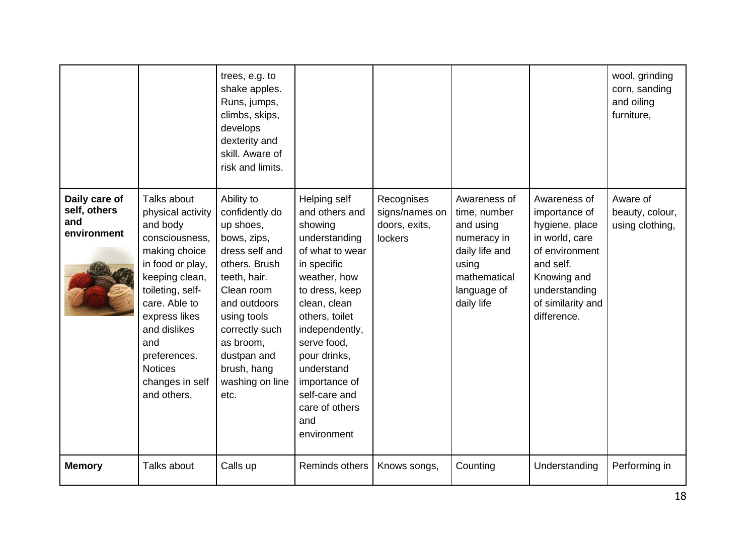|                                                     |                                                                                                                                                                                                                                                                        | trees, e.g. to<br>shake apples.<br>Runs, jumps,<br>climbs, skips,<br>develops<br>dexterity and<br>skill. Aware of<br>risk and limits.                                                                                                            |                                                                                                                                                                                                                                                                                                           |                                                          |                                                                                                                                  |                                                                                                                                                                      | wool, grinding<br>corn, sanding<br>and oiling<br>furniture, |
|-----------------------------------------------------|------------------------------------------------------------------------------------------------------------------------------------------------------------------------------------------------------------------------------------------------------------------------|--------------------------------------------------------------------------------------------------------------------------------------------------------------------------------------------------------------------------------------------------|-----------------------------------------------------------------------------------------------------------------------------------------------------------------------------------------------------------------------------------------------------------------------------------------------------------|----------------------------------------------------------|----------------------------------------------------------------------------------------------------------------------------------|----------------------------------------------------------------------------------------------------------------------------------------------------------------------|-------------------------------------------------------------|
| Daily care of<br>self, others<br>and<br>environment | Talks about<br>physical activity<br>and body<br>consciousness,<br>making choice<br>in food or play,<br>keeping clean,<br>toileting, self-<br>care. Able to<br>express likes<br>and dislikes<br>and<br>preferences.<br><b>Notices</b><br>changes in self<br>and others. | Ability to<br>confidently do<br>up shoes,<br>bows, zips,<br>dress self and<br>others. Brush<br>teeth, hair.<br>Clean room<br>and outdoors<br>using tools<br>correctly such<br>as broom,<br>dustpan and<br>brush, hang<br>washing on line<br>etc. | Helping self<br>and others and<br>showing<br>understanding<br>of what to wear<br>in specific<br>weather, how<br>to dress, keep<br>clean, clean<br>others, toilet<br>independently,<br>serve food.<br>pour drinks,<br>understand<br>importance of<br>self-care and<br>care of others<br>and<br>environment | Recognises<br>signs/names on<br>doors, exits,<br>lockers | Awareness of<br>time, number<br>and using<br>numeracy in<br>daily life and<br>using<br>mathematical<br>language of<br>daily life | Awareness of<br>importance of<br>hygiene, place<br>in world, care<br>of environment<br>and self.<br>Knowing and<br>understanding<br>of similarity and<br>difference. | Aware of<br>beauty, colour,<br>using clothing,              |
| <b>Memory</b>                                       | Talks about                                                                                                                                                                                                                                                            | Calls up                                                                                                                                                                                                                                         | Reminds others                                                                                                                                                                                                                                                                                            | Knows songs,                                             | Counting                                                                                                                         | Understanding                                                                                                                                                        | Performing in                                               |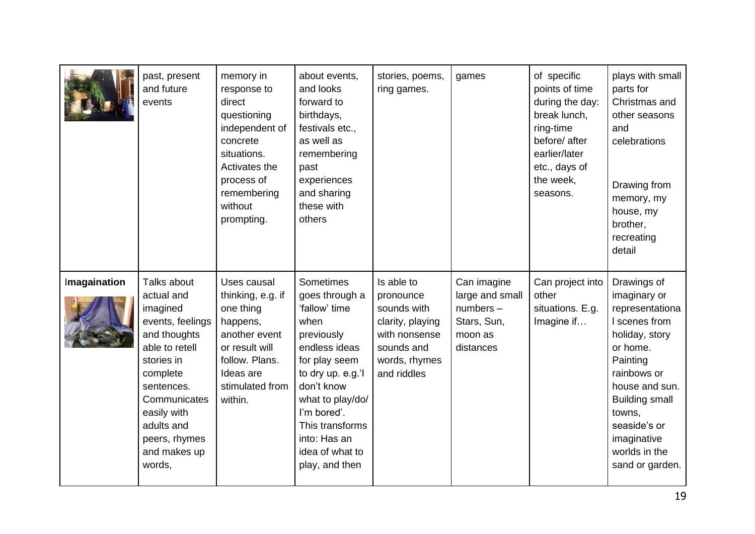|              | past, present<br>and future<br>events                                                                                                                                                                                       | memory in<br>response to<br>direct<br>questioning<br>independent of<br>concrete<br>situations.<br>Activates the<br>process of<br>remembering<br>without<br>prompting. | about events,<br>and looks<br>forward to<br>birthdays,<br>festivals etc.,<br>as well as<br>remembering<br>past<br>experiences<br>and sharing<br>these with<br>others                                                                                      | stories, poems,<br>ring games.                                                                                            | games                                                                                | of specific<br>points of time<br>during the day:<br>break lunch,<br>ring-time<br>before/ after<br>earlier/later<br>etc., days of<br>the week,<br>seasons. | plays with small<br>parts for<br>Christmas and<br>other seasons<br>and<br>celebrations<br>Drawing from<br>memory, my<br>house, my<br>brother,<br>recreating<br>detail                                                                            |
|--------------|-----------------------------------------------------------------------------------------------------------------------------------------------------------------------------------------------------------------------------|-----------------------------------------------------------------------------------------------------------------------------------------------------------------------|-----------------------------------------------------------------------------------------------------------------------------------------------------------------------------------------------------------------------------------------------------------|---------------------------------------------------------------------------------------------------------------------------|--------------------------------------------------------------------------------------|-----------------------------------------------------------------------------------------------------------------------------------------------------------|--------------------------------------------------------------------------------------------------------------------------------------------------------------------------------------------------------------------------------------------------|
| Imagaination | Talks about<br>actual and<br>imagined<br>events, feelings<br>and thoughts<br>able to retell<br>stories in<br>complete<br>sentences.<br>Communicates<br>easily with<br>adults and<br>peers, rhymes<br>and makes up<br>words, | Uses causal<br>thinking, e.g. if<br>one thing<br>happens,<br>another event<br>or result will<br>follow. Plans.<br>Ideas are<br>stimulated from<br>within.             | <b>Sometimes</b><br>goes through a<br>'fallow' time<br>when<br>previously<br>endless ideas<br>for play seem<br>to dry up. e.g.'l<br>don't know<br>what to play/do/<br>I'm bored'.<br>This transforms<br>into: Has an<br>idea of what to<br>play, and then | Is able to<br>pronounce<br>sounds with<br>clarity, playing<br>with nonsense<br>sounds and<br>words, rhymes<br>and riddles | Can imagine<br>large and small<br>$numbers -$<br>Stars, Sun,<br>moon as<br>distances | Can project into<br>other<br>situations. E.g.<br>Imagine if                                                                                               | Drawings of<br>imaginary or<br>representationa<br>I scenes from<br>holiday, story<br>or home.<br>Painting<br>rainbows or<br>house and sun.<br><b>Building small</b><br>towns,<br>seaside's or<br>imaginative<br>worlds in the<br>sand or garden. |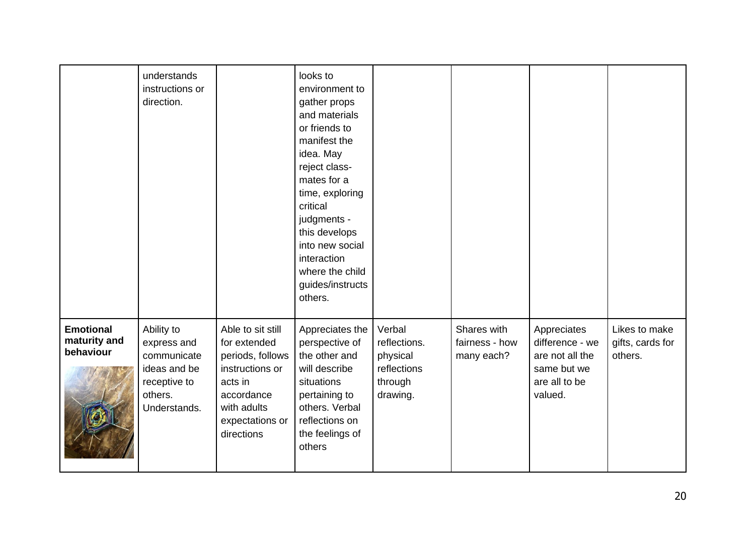|                                               | understands<br>instructions or<br>direction.                                                        |                                                                                                                                                   | looks to<br>environment to<br>gather props<br>and materials<br>or friends to<br>manifest the<br>idea. May<br>reject class-<br>mates for a<br>time, exploring<br>critical<br>judgments -<br>this develops<br>into new social<br>interaction<br>where the child<br>guides/instructs<br>others. |                                                                          |                                             |                                                                                              |                                              |
|-----------------------------------------------|-----------------------------------------------------------------------------------------------------|---------------------------------------------------------------------------------------------------------------------------------------------------|----------------------------------------------------------------------------------------------------------------------------------------------------------------------------------------------------------------------------------------------------------------------------------------------|--------------------------------------------------------------------------|---------------------------------------------|----------------------------------------------------------------------------------------------|----------------------------------------------|
| <b>Emotional</b><br>maturity and<br>behaviour | Ability to<br>express and<br>communicate<br>ideas and be<br>receptive to<br>others.<br>Understands. | Able to sit still<br>for extended<br>periods, follows<br>instructions or<br>acts in<br>accordance<br>with adults<br>expectations or<br>directions | Appreciates the<br>perspective of<br>the other and<br>will describe<br>situations<br>pertaining to<br>others. Verbal<br>reflections on<br>the feelings of<br>others                                                                                                                          | Verbal<br>reflections.<br>physical<br>reflections<br>through<br>drawing. | Shares with<br>fairness - how<br>many each? | Appreciates<br>difference - we<br>are not all the<br>same but we<br>are all to be<br>valued. | Likes to make<br>gifts, cards for<br>others. |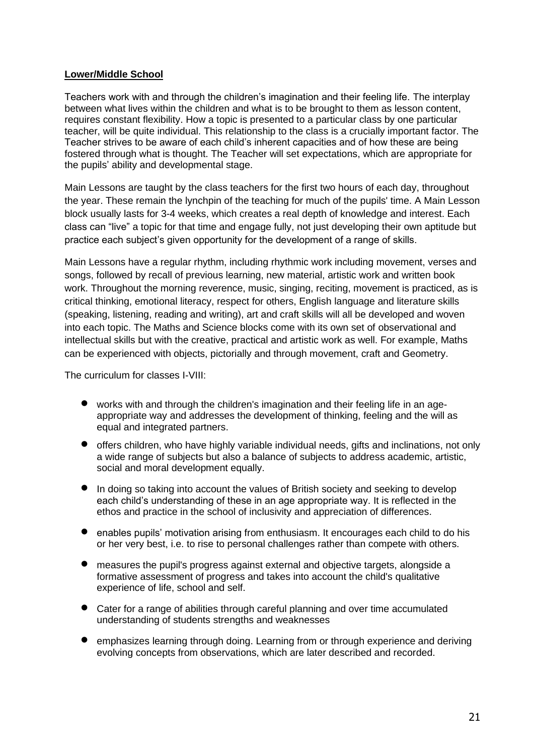## **Lower/Middle School**

Teachers work with and through the children's imagination and their feeling life. The interplay between what lives within the children and what is to be brought to them as lesson content, requires constant flexibility. How a topic is presented to a particular class by one particular teacher, will be quite individual. This relationship to the class is a crucially important factor. The Teacher strives to be aware of each child's inherent capacities and of how these are being fostered through what is thought. The Teacher will set expectations, which are appropriate for the pupils' ability and developmental stage.

Main Lessons are taught by the class teachers for the first two hours of each day, throughout the year. These remain the lynchpin of the teaching for much of the pupils' time. A Main Lesson block usually lasts for 3-4 weeks, which creates a real depth of knowledge and interest. Each class can "live" a topic for that time and engage fully, not just developing their own aptitude but practice each subject's given opportunity for the development of a range of skills.

Main Lessons have a regular rhythm, including rhythmic work including movement, verses and songs, followed by recall of previous learning, new material, artistic work and written book work. Throughout the morning reverence, music, singing, reciting, movement is practiced, as is critical thinking, emotional literacy, respect for others, English language and literature skills (speaking, listening, reading and writing), art and craft skills will all be developed and woven into each topic. The Maths and Science blocks come with its own set of observational and intellectual skills but with the creative, practical and artistic work as well. For example, Maths can be experienced with objects, pictorially and through movement, craft and Geometry.

The curriculum for classes I-VIII:

- works with and through the children's imagination and their feeling life in an ageappropriate way and addresses the development of thinking, feeling and the will as equal and integrated partners.
- offers children, who have highly variable individual needs, gifts and inclinations, not only a wide range of subjects but also a balance of subjects to address academic, artistic, social and moral development equally.
- In doing so taking into account the values of British society and seeking to develop each child's understanding of these in an age appropriate way. It is reflected in the ethos and practice in the school of inclusivity and appreciation of differences.
- enables pupils' motivation arising from enthusiasm. It encourages each child to do his or her very best, i.e. to rise to personal challenges rather than compete with others.
- measures the pupil's progress against external and objective targets, alongside a formative assessment of progress and takes into account the child's qualitative experience of life, school and self.
- Cater for a range of abilities through careful planning and over time accumulated understanding of students strengths and weaknesses
- emphasizes learning through doing. Learning from or through experience and deriving evolving concepts from observations, which are later described and recorded.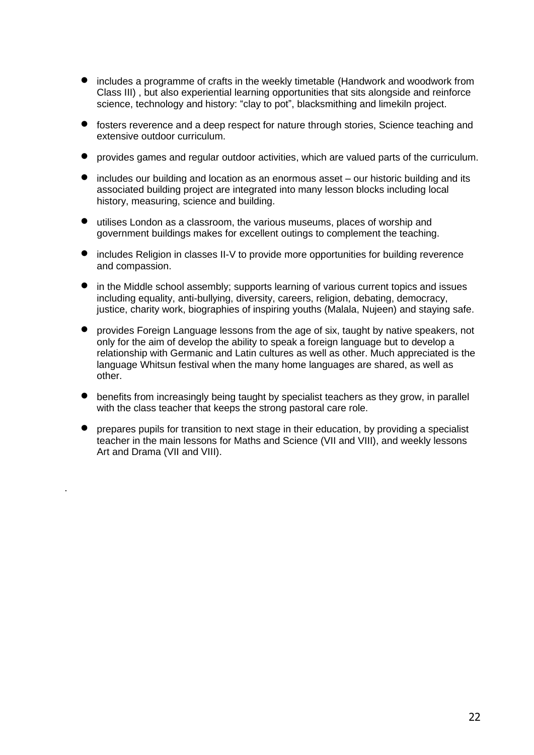- includes a programme of crafts in the weekly timetable (Handwork and woodwork from Class III) , but also experiential learning opportunities that sits alongside and reinforce science, technology and history: "clay to pot", blacksmithing and limekiln project.
- fosters reverence and a deep respect for nature through stories, Science teaching and extensive outdoor curriculum.
- provides games and regular outdoor activities, which are valued parts of the curriculum.
- includes our building and location as an enormous asset our historic building and its associated building project are integrated into many lesson blocks including local history, measuring, science and building.
- utilises London as a classroom, the various museums, places of worship and government buildings makes for excellent outings to complement the teaching.
- includes Religion in classes II-V to provide more opportunities for building reverence and compassion.
- in the Middle school assembly; supports learning of various current topics and issues including equality, anti-bullying, diversity, careers, religion, debating, democracy, justice, charity work, biographies of inspiring youths (Malala, Nujeen) and staying safe.
- provides Foreign Language lessons from the age of six, taught by native speakers, not only for the aim of develop the ability to speak a foreign language but to develop a relationship with Germanic and Latin cultures as well as other. Much appreciated is the language Whitsun festival when the many home languages are shared, as well as other.
- benefits from increasingly being taught by specialist teachers as they grow, in parallel with the class teacher that keeps the strong pastoral care role.
- prepares pupils for transition to next stage in their education, by providing a specialist teacher in the main lessons for Maths and Science (VII and VIII), and weekly lessons Art and Drama (VII and VIII).

.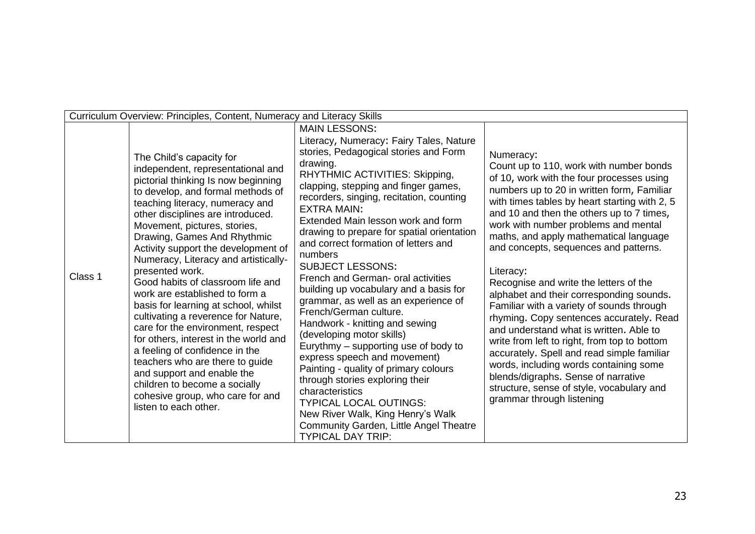|         | Curriculum Overview: Principles, Content, Numeracy and Literacy Skills                                                                                                                                                                                                                                                                                                                                                                                                                                                                                                                                                                                                                                                                                                                                                  |                                                                                                                                                                                                                                                                                                                                                                                                                                                                                                                                                                                                                                                                                                                                                                                                                                                                                                                                                                        |                                                                                                                                                                                                                                                                                                                                                                                                                                                                                                                                                                                                                                                                                                                                                                                                                                                                          |  |  |  |
|---------|-------------------------------------------------------------------------------------------------------------------------------------------------------------------------------------------------------------------------------------------------------------------------------------------------------------------------------------------------------------------------------------------------------------------------------------------------------------------------------------------------------------------------------------------------------------------------------------------------------------------------------------------------------------------------------------------------------------------------------------------------------------------------------------------------------------------------|------------------------------------------------------------------------------------------------------------------------------------------------------------------------------------------------------------------------------------------------------------------------------------------------------------------------------------------------------------------------------------------------------------------------------------------------------------------------------------------------------------------------------------------------------------------------------------------------------------------------------------------------------------------------------------------------------------------------------------------------------------------------------------------------------------------------------------------------------------------------------------------------------------------------------------------------------------------------|--------------------------------------------------------------------------------------------------------------------------------------------------------------------------------------------------------------------------------------------------------------------------------------------------------------------------------------------------------------------------------------------------------------------------------------------------------------------------------------------------------------------------------------------------------------------------------------------------------------------------------------------------------------------------------------------------------------------------------------------------------------------------------------------------------------------------------------------------------------------------|--|--|--|
| Class 1 | The Child's capacity for<br>independent, representational and<br>pictorial thinking Is now beginning<br>to develop, and formal methods of<br>teaching literacy, numeracy and<br>other disciplines are introduced.<br>Movement, pictures, stories,<br>Drawing, Games And Rhythmic<br>Activity support the development of<br>Numeracy, Literacy and artistically-<br>presented work.<br>Good habits of classroom life and<br>work are established to form a<br>basis for learning at school, whilst<br>cultivating a reverence for Nature,<br>care for the environment, respect<br>for others, interest in the world and<br>a feeling of confidence in the<br>teachers who are there to guide<br>and support and enable the<br>children to become a socially<br>cohesive group, who care for and<br>listen to each other. | <b>MAIN LESSONS:</b><br>Literacy, Numeracy: Fairy Tales, Nature<br>stories, Pedagogical stories and Form<br>drawing.<br>RHYTHMIC ACTIVITIES: Skipping,<br>clapping, stepping and finger games,<br>recorders, singing, recitation, counting<br><b>EXTRA MAIN:</b><br>Extended Main lesson work and form<br>drawing to prepare for spatial orientation<br>and correct formation of letters and<br>numbers<br><b>SUBJECT LESSONS:</b><br>French and German- oral activities<br>building up vocabulary and a basis for<br>grammar, as well as an experience of<br>French/German culture.<br>Handwork - knitting and sewing<br>(developing motor skills)<br>Eurythmy – supporting use of body to<br>express speech and movement)<br>Painting - quality of primary colours<br>through stories exploring their<br>characteristics<br><b>TYPICAL LOCAL OUTINGS:</b><br>New River Walk, King Henry's Walk<br>Community Garden, Little Angel Theatre<br><b>TYPICAL DAY TRIP:</b> | Numeracy:<br>Count up to 110, work with number bonds<br>of 10, work with the four processes using<br>numbers up to 20 in written form, Familiar<br>with times tables by heart starting with 2, 5<br>and 10 and then the others up to 7 times,<br>work with number problems and mental<br>maths, and apply mathematical language<br>and concepts, sequences and patterns.<br>Literacy:<br>Recognise and write the letters of the<br>alphabet and their corresponding sounds.<br>Familiar with a variety of sounds through<br>rhyming. Copy sentences accurately. Read<br>and understand what is written. Able to<br>write from left to right, from top to bottom<br>accurately. Spell and read simple familiar<br>words, including words containing some<br>blends/digraphs. Sense of narrative<br>structure, sense of style, vocabulary and<br>grammar through listening |  |  |  |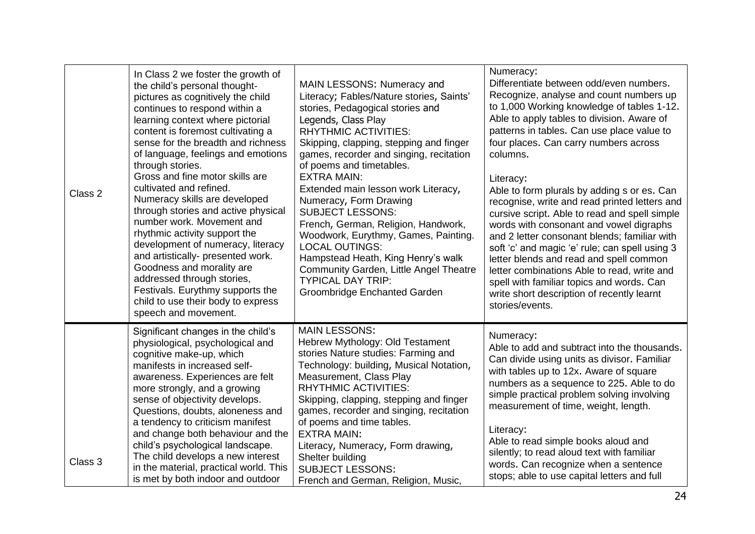| Class 2 | In Class 2 we foster the growth of<br>the child's personal thought-<br>pictures as cognitively the child<br>continues to respond within a<br>learning context where pictorial<br>content is foremost cultivating a<br>sense for the breadth and richness<br>of language, feelings and emotions<br>through stories.<br>Gross and fine motor skills are<br>cultivated and refined.<br>Numeracy skills are developed<br>through stories and active physical<br>number work. Movement and<br>rhythmic activity support the<br>development of numeracy, literacy<br>and artistically- presented work.<br>Goodness and morality are<br>addressed through stories,<br>Festivals. Eurythmy supports the<br>child to use their body to express<br>speech and movement. | MAIN LESSONS: Numeracy and<br>Literacy; Fables/Nature stories, Saints'<br>stories, Pedagogical stories and<br>Legends, Class Play<br><b>RHYTHMIC ACTIVITIES:</b><br>Skipping, clapping, stepping and finger<br>games, recorder and singing, recitation<br>of poems and timetables.<br><b>EXTRA MAIN:</b><br>Extended main lesson work Literacy,<br>Numeracy, Form Drawing<br><b>SUBJECT LESSONS:</b><br>French, German, Religion, Handwork,<br>Woodwork, Eurythmy, Games, Painting.<br><b>LOCAL OUTINGS:</b><br>Hampstead Heath, King Henry's walk<br>Community Garden, Little Angel Theatre<br><b>TYPICAL DAY TRIP:</b><br>Groombridge Enchanted Garden | Numeracy:<br>Differentiate between odd/even numbers.<br>Recognize, analyse and count numbers up<br>to 1,000 Working knowledge of tables 1-12.<br>Able to apply tables to division. Aware of<br>patterns in tables. Can use place value to<br>four places. Can carry numbers across<br>columns.<br>Literacy:<br>Able to form plurals by adding s or es. Can<br>recognise, write and read printed letters and<br>cursive script. Able to read and spell simple<br>words with consonant and vowel digraphs<br>and 2 letter consonant blends; familiar with<br>soft 'c' and magic 'e' rule; can spell using 3<br>letter blends and read and spell common<br>letter combinations Able to read, write and<br>spell with familiar topics and words. Can<br>write short description of recently learnt<br>stories/events. |
|---------|---------------------------------------------------------------------------------------------------------------------------------------------------------------------------------------------------------------------------------------------------------------------------------------------------------------------------------------------------------------------------------------------------------------------------------------------------------------------------------------------------------------------------------------------------------------------------------------------------------------------------------------------------------------------------------------------------------------------------------------------------------------|----------------------------------------------------------------------------------------------------------------------------------------------------------------------------------------------------------------------------------------------------------------------------------------------------------------------------------------------------------------------------------------------------------------------------------------------------------------------------------------------------------------------------------------------------------------------------------------------------------------------------------------------------------|-------------------------------------------------------------------------------------------------------------------------------------------------------------------------------------------------------------------------------------------------------------------------------------------------------------------------------------------------------------------------------------------------------------------------------------------------------------------------------------------------------------------------------------------------------------------------------------------------------------------------------------------------------------------------------------------------------------------------------------------------------------------------------------------------------------------|
| Class 3 | Significant changes in the child's<br>physiological, psychological and<br>cognitive make-up, which<br>manifests in increased self-<br>awareness. Experiences are felt<br>more strongly, and a growing<br>sense of objectivity develops.<br>Questions, doubts, aloneness and<br>a tendency to criticism manifest<br>and change both behaviour and the<br>child's psychological landscape.<br>The child develops a new interest<br>in the material, practical world. This<br>is met by both indoor and outdoor                                                                                                                                                                                                                                                  | <b>MAIN LESSONS:</b><br>Hebrew Mythology: Old Testament<br>stories Nature studies: Farming and<br>Technology: building, Musical Notation,<br>Measurement, Class Play<br><b>RHYTHMIC ACTIVITIES:</b><br>Skipping, clapping, stepping and finger<br>games, recorder and singing, recitation<br>of poems and time tables.<br><b>EXTRA MAIN:</b><br>Literacy, Numeracy, Form drawing,<br>Shelter building<br><b>SUBJECT LESSONS:</b><br>French and German, Religion, Music,                                                                                                                                                                                  | Numeracy:<br>Able to add and subtract into the thousands.<br>Can divide using units as divisor. Familiar<br>with tables up to 12x. Aware of square<br>numbers as a sequence to 225. Able to do<br>simple practical problem solving involving<br>measurement of time, weight, length.<br>Literacy:<br>Able to read simple books aloud and<br>silently; to read aloud text with familiar<br>words. Can recognize when a sentence<br>stops; able to use capital letters and full                                                                                                                                                                                                                                                                                                                                     |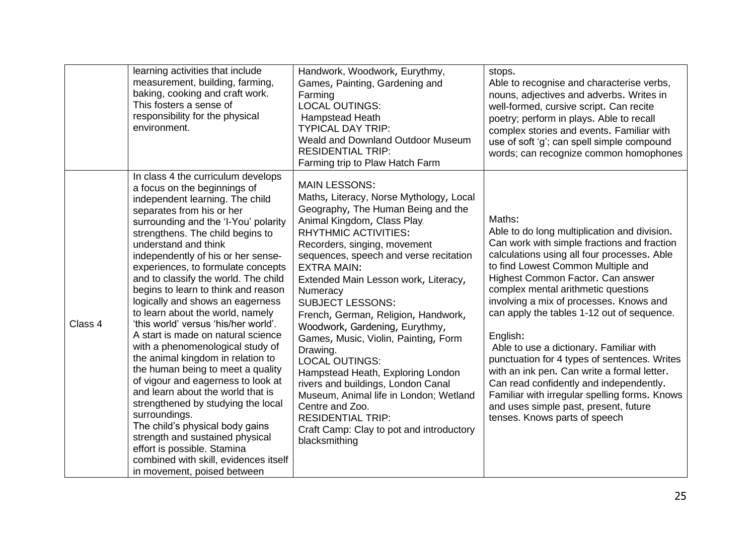|         | learning activities that include<br>measurement, building, farming,<br>baking, cooking and craft work.<br>This fosters a sense of<br>responsibility for the physical<br>environment.                                                                                                                                                                                                                                                                                                                                                                                                                                                                                                                                                                                                                                                                                                                                                                                                 | Handwork, Woodwork, Eurythmy,<br>Games, Painting, Gardening and<br>Farming<br><b>LOCAL OUTINGS:</b><br><b>Hampstead Heath</b><br><b>TYPICAL DAY TRIP:</b><br>Weald and Downland Outdoor Museum<br><b>RESIDENTIAL TRIP:</b><br>Farming trip to Plaw Hatch Farm                                                                                                                                                                                                                                                                                                                                                                                                                                                                             | stops.<br>Able to recognise and characterise verbs,<br>nouns, adjectives and adverbs. Writes in<br>well-formed, cursive script. Can recite<br>poetry; perform in plays. Able to recall<br>complex stories and events. Familiar with<br>use of soft 'g'; can spell simple compound<br>words; can recognize common homophones                                                                                                                                                                                                                                                                                                                                                                 |
|---------|--------------------------------------------------------------------------------------------------------------------------------------------------------------------------------------------------------------------------------------------------------------------------------------------------------------------------------------------------------------------------------------------------------------------------------------------------------------------------------------------------------------------------------------------------------------------------------------------------------------------------------------------------------------------------------------------------------------------------------------------------------------------------------------------------------------------------------------------------------------------------------------------------------------------------------------------------------------------------------------|-------------------------------------------------------------------------------------------------------------------------------------------------------------------------------------------------------------------------------------------------------------------------------------------------------------------------------------------------------------------------------------------------------------------------------------------------------------------------------------------------------------------------------------------------------------------------------------------------------------------------------------------------------------------------------------------------------------------------------------------|---------------------------------------------------------------------------------------------------------------------------------------------------------------------------------------------------------------------------------------------------------------------------------------------------------------------------------------------------------------------------------------------------------------------------------------------------------------------------------------------------------------------------------------------------------------------------------------------------------------------------------------------------------------------------------------------|
| Class 4 | In class 4 the curriculum develops<br>a focus on the beginnings of<br>independent learning. The child<br>separates from his or her<br>surrounding and the 'I-You' polarity<br>strengthens. The child begins to<br>understand and think<br>independently of his or her sense-<br>experiences, to formulate concepts<br>and to classify the world. The child<br>begins to learn to think and reason<br>logically and shows an eagerness<br>to learn about the world, namely<br>'this world' versus 'his/her world'.<br>A start is made on natural science<br>with a phenomenological study of<br>the animal kingdom in relation to<br>the human being to meet a quality<br>of vigour and eagerness to look at<br>and learn about the world that is<br>strengthened by studying the local<br>surroundings.<br>The child's physical body gains<br>strength and sustained physical<br>effort is possible. Stamina<br>combined with skill, evidences itself<br>in movement, poised between | <b>MAIN LESSONS:</b><br>Maths, Literacy, Norse Mythology, Local<br>Geography, The Human Being and the<br>Animal Kingdom, Class Play.<br><b>RHYTHMIC ACTIVITIES:</b><br>Recorders, singing, movement<br>sequences, speech and verse recitation<br><b>EXTRA MAIN:</b><br>Extended Main Lesson work, Literacy,<br>Numeracy<br><b>SUBJECT LESSONS:</b><br>French, German, Religion, Handwork,<br>Woodwork, Gardening, Eurythmy,<br>Games, Music, Violin, Painting, Form<br>Drawing.<br><b>LOCAL OUTINGS:</b><br>Hampstead Heath, Exploring London<br>rivers and buildings, London Canal<br>Museum, Animal life in London; Wetland<br>Centre and Zoo.<br><b>RESIDENTIAL TRIP:</b><br>Craft Camp: Clay to pot and introductory<br>blacksmithing | Maths:<br>Able to do long multiplication and division.<br>Can work with simple fractions and fraction<br>calculations using all four processes. Able<br>to find Lowest Common Multiple and<br>Highest Common Factor. Can answer<br>complex mental arithmetic questions<br>involving a mix of processes. Knows and<br>can apply the tables 1-12 out of sequence.<br>English:<br>Able to use a dictionary. Familiar with<br>punctuation for 4 types of sentences. Writes<br>with an ink pen. Can write a formal letter.<br>Can read confidently and independently.<br>Familiar with irregular spelling forms. Knows<br>and uses simple past, present, future<br>tenses. Knows parts of speech |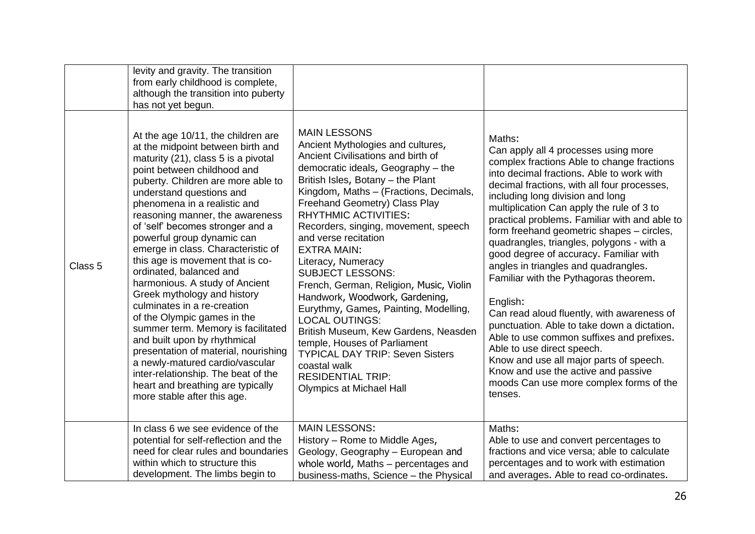|                    | levity and gravity. The transition<br>from early childhood is complete,<br>although the transition into puberty<br>has not yet begun.                                                                                                                                                                                                                                                                                                                                                                                                                                                                                                                                                                                                                                                                                                                |                                                                                                                                                                                                                                                                                                                                                                                                                                                                                                                                                                                                                                                                                                                                                                            |                                                                                                                                                                                                                                                                                                                                                                                                                                                                                                                                                                                                                                                                                                                                                                                                                                                                             |
|--------------------|------------------------------------------------------------------------------------------------------------------------------------------------------------------------------------------------------------------------------------------------------------------------------------------------------------------------------------------------------------------------------------------------------------------------------------------------------------------------------------------------------------------------------------------------------------------------------------------------------------------------------------------------------------------------------------------------------------------------------------------------------------------------------------------------------------------------------------------------------|----------------------------------------------------------------------------------------------------------------------------------------------------------------------------------------------------------------------------------------------------------------------------------------------------------------------------------------------------------------------------------------------------------------------------------------------------------------------------------------------------------------------------------------------------------------------------------------------------------------------------------------------------------------------------------------------------------------------------------------------------------------------------|-----------------------------------------------------------------------------------------------------------------------------------------------------------------------------------------------------------------------------------------------------------------------------------------------------------------------------------------------------------------------------------------------------------------------------------------------------------------------------------------------------------------------------------------------------------------------------------------------------------------------------------------------------------------------------------------------------------------------------------------------------------------------------------------------------------------------------------------------------------------------------|
| Class <sub>5</sub> | At the age 10/11, the children are<br>at the midpoint between birth and<br>maturity (21), class 5 is a pivotal<br>point between childhood and<br>puberty. Children are more able to<br>understand questions and<br>phenomena in a realistic and<br>reasoning manner, the awareness<br>of 'self' becomes stronger and a<br>powerful group dynamic can<br>emerge in class. Characteristic of<br>this age is movement that is co-<br>ordinated, balanced and<br>harmonious. A study of Ancient<br>Greek mythology and history<br>culminates in a re-creation<br>of the Olympic games in the<br>summer term. Memory is facilitated<br>and built upon by rhythmical<br>presentation of material, nourishing<br>a newly-matured cardio/vascular<br>inter-relationship. The beat of the<br>heart and breathing are typically<br>more stable after this age. | <b>MAIN LESSONS</b><br>Ancient Mythologies and cultures,<br>Ancient Civilisations and birth of<br>democratic ideals, Geography - the<br>British Isles, Botany - the Plant<br>Kingdom, Maths - (Fractions, Decimals,<br>Freehand Geometry) Class Play<br><b>RHYTHMIC ACTIVITIES:</b><br>Recorders, singing, movement, speech<br>and verse recitation<br><b>EXTRA MAIN:</b><br>Literacy, Numeracy<br><b>SUBJECT LESSONS:</b><br>French, German, Religion, Music, Violin<br>Handwork, Woodwork, Gardening,<br>Eurythmy, Games, Painting, Modelling,<br><b>LOCAL OUTINGS:</b><br>British Museum, Kew Gardens, Neasden<br>temple, Houses of Parliament<br><b>TYPICAL DAY TRIP: Seven Sisters</b><br>coastal walk<br><b>RESIDENTIAL TRIP:</b><br><b>Olympics at Michael Hall</b> | Maths:<br>Can apply all 4 processes using more<br>complex fractions Able to change fractions<br>into decimal fractions. Able to work with<br>decimal fractions, with all four processes,<br>including long division and long<br>multiplication Can apply the rule of 3 to<br>practical problems. Familiar with and able to<br>form freehand geometric shapes - circles,<br>quadrangles, triangles, polygons - with a<br>good degree of accuracy. Familiar with<br>angles in triangles and quadrangles.<br>Familiar with the Pythagoras theorem.<br>English:<br>Can read aloud fluently, with awareness of<br>punctuation. Able to take down a dictation.<br>Able to use common suffixes and prefixes.<br>Able to use direct speech.<br>Know and use all major parts of speech.<br>Know and use the active and passive<br>moods Can use more complex forms of the<br>tenses. |
|                    | In class 6 we see evidence of the<br>potential for self-reflection and the<br>need for clear rules and boundaries<br>within which to structure this<br>development. The limbs begin to                                                                                                                                                                                                                                                                                                                                                                                                                                                                                                                                                                                                                                                               | <b>MAIN LESSONS:</b><br>History - Rome to Middle Ages,<br>Geology, Geography - European and<br>whole world, Maths - percentages and<br>business-maths, Science - the Physical                                                                                                                                                                                                                                                                                                                                                                                                                                                                                                                                                                                              | Maths:<br>Able to use and convert percentages to<br>fractions and vice versa; able to calculate<br>percentages and to work with estimation<br>and averages. Able to read co-ordinates.                                                                                                                                                                                                                                                                                                                                                                                                                                                                                                                                                                                                                                                                                      |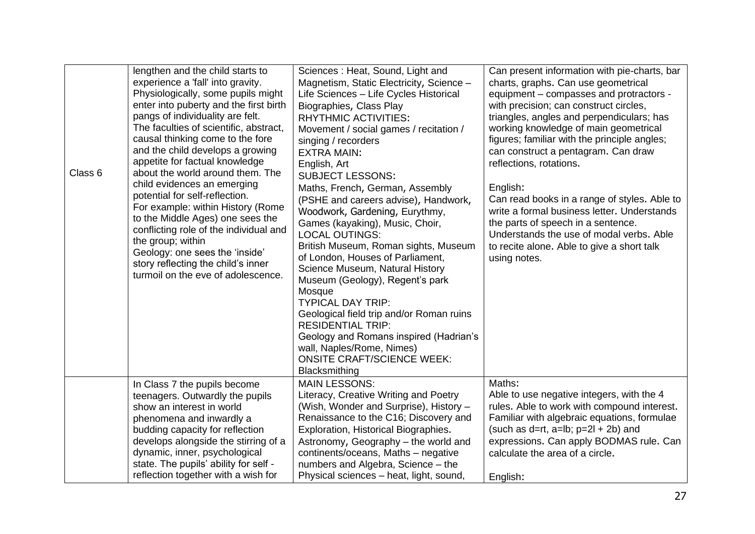| Class 6 | lengthen and the child starts to<br>experience a 'fall' into gravity.<br>Physiologically, some pupils might<br>enter into puberty and the first birth<br>pangs of individuality are felt.<br>The faculties of scientific, abstract,<br>causal thinking come to the fore<br>and the child develops a growing<br>appetite for factual knowledge<br>about the world around them. The<br>child evidences an emerging<br>potential for self-reflection.<br>For example: within History (Rome<br>to the Middle Ages) one sees the<br>conflicting role of the individual and<br>the group; within<br>Geology: one sees the 'inside'<br>story reflecting the child's inner<br>turmoil on the eve of adolescence. | Sciences: Heat, Sound, Light and<br>Magnetism, Static Electricity, Science -<br>Life Sciences - Life Cycles Historical<br>Biographies, Class Play<br><b>RHYTHMIC ACTIVITIES:</b><br>Movement / social games / recitation /<br>singing / recorders<br><b>EXTRA MAIN:</b><br>English, Art<br><b>SUBJECT LESSONS:</b><br>Maths, French, German, Assembly<br>(PSHE and careers advise), Handwork,<br>Woodwork, Gardening, Eurythmy,<br>Games (kayaking), Music, Choir,<br><b>LOCAL OUTINGS:</b><br>British Museum, Roman sights, Museum<br>of London, Houses of Parliament,<br>Science Museum, Natural History<br>Museum (Geology), Regent's park<br>Mosque<br><b>TYPICAL DAY TRIP:</b><br>Geological field trip and/or Roman ruins<br><b>RESIDENTIAL TRIP:</b><br>Geology and Romans inspired (Hadrian's<br>wall, Naples/Rome, Nimes)<br><b>ONSITE CRAFT/SCIENCE WEEK:</b><br>Blacksmithing | Can present information with pie-charts, bar<br>charts, graphs. Can use geometrical<br>equipment – compasses and protractors -<br>with precision; can construct circles,<br>triangles, angles and perpendiculars; has<br>working knowledge of main geometrical<br>figures; familiar with the principle angles;<br>can construct a pentagram. Can draw<br>reflections, rotations.<br>English:<br>Can read books in a range of styles. Able to<br>write a formal business letter. Understands<br>the parts of speech in a sentence.<br>Understands the use of modal verbs. Able<br>to recite alone. Able to give a short talk<br>using notes. |
|---------|----------------------------------------------------------------------------------------------------------------------------------------------------------------------------------------------------------------------------------------------------------------------------------------------------------------------------------------------------------------------------------------------------------------------------------------------------------------------------------------------------------------------------------------------------------------------------------------------------------------------------------------------------------------------------------------------------------|------------------------------------------------------------------------------------------------------------------------------------------------------------------------------------------------------------------------------------------------------------------------------------------------------------------------------------------------------------------------------------------------------------------------------------------------------------------------------------------------------------------------------------------------------------------------------------------------------------------------------------------------------------------------------------------------------------------------------------------------------------------------------------------------------------------------------------------------------------------------------------------|---------------------------------------------------------------------------------------------------------------------------------------------------------------------------------------------------------------------------------------------------------------------------------------------------------------------------------------------------------------------------------------------------------------------------------------------------------------------------------------------------------------------------------------------------------------------------------------------------------------------------------------------|
|         | In Class 7 the pupils become<br>teenagers. Outwardly the pupils<br>show an interest in world<br>phenomena and inwardly a<br>budding capacity for reflection<br>develops alongside the stirring of a<br>dynamic, inner, psychological<br>state. The pupils' ability for self -<br>reflection together with a wish for                                                                                                                                                                                                                                                                                                                                                                                     | <b>MAIN LESSONS:</b><br>Literacy, Creative Writing and Poetry<br>(Wish, Wonder and Surprise), History -<br>Renaissance to the C16; Discovery and<br>Exploration, Historical Biographies.<br>Astronomy, Geography - the world and<br>continents/oceans, Maths - negative<br>numbers and Algebra, Science - the<br>Physical sciences - heat, light, sound,                                                                                                                                                                                                                                                                                                                                                                                                                                                                                                                                 | Maths:<br>Able to use negative integers, with the 4<br>rules. Able to work with compound interest.<br>Familiar with algebraic equations, formulae<br>(such as $d=rt$ , $a=lb$ ; $p=2l + 2b$ ) and<br>expressions. Can apply BODMAS rule. Can<br>calculate the area of a circle.<br>English:                                                                                                                                                                                                                                                                                                                                                 |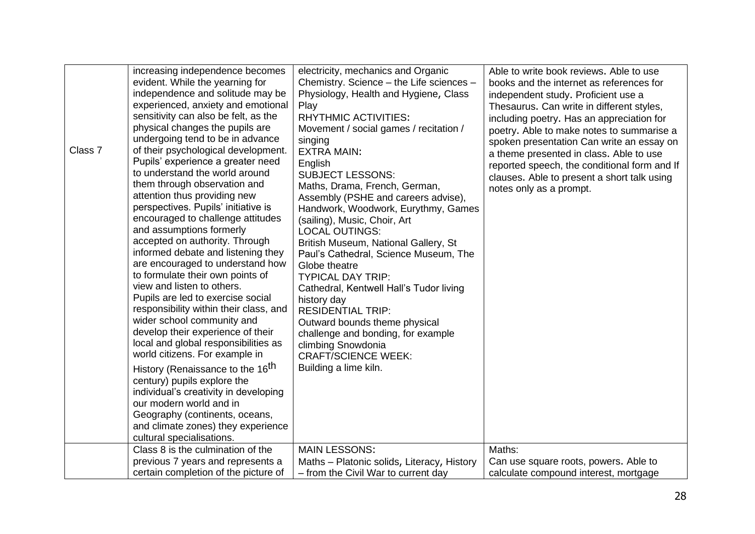| Class 7 | increasing independence becomes<br>evident. While the yearning for<br>independence and solitude may be<br>experienced, anxiety and emotional<br>sensitivity can also be felt, as the<br>physical changes the pupils are<br>undergoing tend to be in advance<br>of their psychological development.<br>Pupils' experience a greater need<br>to understand the world around<br>them through observation and<br>attention thus providing new<br>perspectives. Pupils' initiative is<br>encouraged to challenge attitudes<br>and assumptions formerly<br>accepted on authority. Through<br>informed debate and listening they<br>are encouraged to understand how<br>to formulate their own points of<br>view and listen to others.<br>Pupils are led to exercise social<br>responsibility within their class, and<br>wider school community and<br>develop their experience of their<br>local and global responsibilities as<br>world citizens. For example in<br>History (Renaissance to the 16 <sup>th</sup><br>century) pupils explore the<br>individual's creativity in developing<br>our modern world and in<br>Geography (continents, oceans,<br>and climate zones) they experience<br>cultural specialisations.<br>Class 8 is the culmination of the | electricity, mechanics and Organic<br>Chemistry. Science - the Life sciences -<br>Physiology, Health and Hygiene, Class<br>Play<br><b>RHYTHMIC ACTIVITIES:</b><br>Movement / social games / recitation /<br>singing<br><b>EXTRA MAIN:</b><br>English<br><b>SUBJECT LESSONS:</b><br>Maths, Drama, French, German,<br>Assembly (PSHE and careers advise),<br>Handwork, Woodwork, Eurythmy, Games<br>(sailing), Music, Choir, Art<br><b>LOCAL OUTINGS:</b><br>British Museum, National Gallery, St<br>Paul's Cathedral, Science Museum, The<br>Globe theatre<br><b>TYPICAL DAY TRIP:</b><br>Cathedral, Kentwell Hall's Tudor living<br>history day<br><b>RESIDENTIAL TRIP:</b><br>Outward bounds theme physical<br>challenge and bonding, for example<br>climbing Snowdonia<br><b>CRAFT/SCIENCE WEEK:</b><br>Building a lime kiln.<br><b>MAIN LESSONS:</b> | Able to write book reviews. Able to use<br>books and the internet as references for<br>independent study. Proficient use a<br>Thesaurus. Can write in different styles,<br>including poetry. Has an appreciation for<br>poetry. Able to make notes to summarise a<br>spoken presentation Can write an essay on<br>a theme presented in class. Able to use<br>reported speech, the conditional form and If<br>clauses. Able to present a short talk using<br>notes only as a prompt.<br>Maths: |
|---------|----------------------------------------------------------------------------------------------------------------------------------------------------------------------------------------------------------------------------------------------------------------------------------------------------------------------------------------------------------------------------------------------------------------------------------------------------------------------------------------------------------------------------------------------------------------------------------------------------------------------------------------------------------------------------------------------------------------------------------------------------------------------------------------------------------------------------------------------------------------------------------------------------------------------------------------------------------------------------------------------------------------------------------------------------------------------------------------------------------------------------------------------------------------------------------------------------------------------------------------------------------|---------------------------------------------------------------------------------------------------------------------------------------------------------------------------------------------------------------------------------------------------------------------------------------------------------------------------------------------------------------------------------------------------------------------------------------------------------------------------------------------------------------------------------------------------------------------------------------------------------------------------------------------------------------------------------------------------------------------------------------------------------------------------------------------------------------------------------------------------------|-----------------------------------------------------------------------------------------------------------------------------------------------------------------------------------------------------------------------------------------------------------------------------------------------------------------------------------------------------------------------------------------------------------------------------------------------------------------------------------------------|
|         | previous 7 years and represents a                                                                                                                                                                                                                                                                                                                                                                                                                                                                                                                                                                                                                                                                                                                                                                                                                                                                                                                                                                                                                                                                                                                                                                                                                        | Maths - Platonic solids, Literacy, History                                                                                                                                                                                                                                                                                                                                                                                                                                                                                                                                                                                                                                                                                                                                                                                                              | Can use square roots, powers. Able to                                                                                                                                                                                                                                                                                                                                                                                                                                                         |
|         | certain completion of the picture of                                                                                                                                                                                                                                                                                                                                                                                                                                                                                                                                                                                                                                                                                                                                                                                                                                                                                                                                                                                                                                                                                                                                                                                                                     | - from the Civil War to current day                                                                                                                                                                                                                                                                                                                                                                                                                                                                                                                                                                                                                                                                                                                                                                                                                     | calculate compound interest, mortgage                                                                                                                                                                                                                                                                                                                                                                                                                                                         |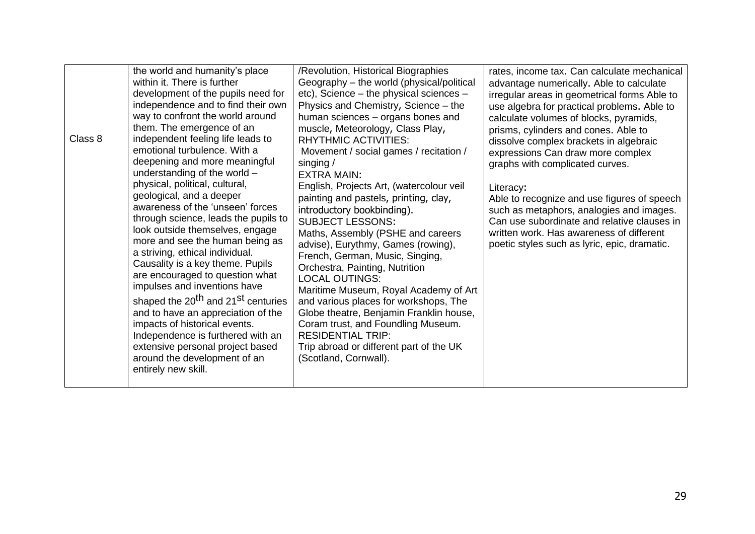| within it. There is further<br>Geography - the world (physical/political<br>development of the pupils need for<br>independence and to find their own<br>way to confront the world around<br>them. The emergence of an<br>independent feeling life leads to<br>Class 8<br>emotional turbulence. With a<br>deepening and more meaningful<br>singing /<br>understanding of the world -<br><b>EXTRA MAIN:</b><br>physical, political, cultural,<br>geological, and a deeper<br>awareness of the 'unseen' forces<br>through science, leads the pupils to<br>look outside themselves, engage<br>more and see the human being as<br>a striving, ethical individual.<br>Causality is a key theme. Pupils<br>are encouraged to question what<br>impulses and inventions have<br>shaped the 20 <sup>th</sup> and 21 <sup>st</sup> centuries<br>and to have an appreciation of the<br>impacts of historical events.<br>Independence is furthered with an<br>extensive personal project based<br>around the development of an<br>entirely new skill. | etc), Science – the physical sciences –<br>Physics and Chemistry, Science - the<br>human sciences - organs bones and<br>muscle, Meteorology, Class Play,<br><b>RHYTHMIC ACTIVITIES:</b><br>Movement / social games / recitation /<br>English, Projects Art, (watercolour veil<br>painting and pastels, printing, clay,<br>introductory bookbinding).<br><b>SUBJECT LESSONS:</b><br>Maths, Assembly (PSHE and careers<br>advise), Eurythmy, Games (rowing),<br>French, German, Music, Singing,<br>Orchestra, Painting, Nutrition<br><b>LOCAL OUTINGS:</b><br>Maritime Museum, Royal Academy of Art<br>and various places for workshops, The<br>Globe theatre, Benjamin Franklin house,<br>Coram trust, and Foundling Museum.<br><b>RESIDENTIAL TRIP:</b><br>Trip abroad or different part of the UK<br>(Scotland, Cornwall). | irregular areas in geometrical forms Able to<br>use algebra for practical problems. Able to<br>calculate volumes of blocks, pyramids,<br>prisms, cylinders and cones. Able to<br>dissolve complex brackets in algebraic<br>expressions Can draw more complex<br>graphs with complicated curves.<br>Literacy:<br>Able to recognize and use figures of speech<br>such as metaphors, analogies and images.<br>Can use subordinate and relative clauses in<br>written work. Has awareness of different<br>poetic styles such as lyric, epic, dramatic. |
|------------------------------------------------------------------------------------------------------------------------------------------------------------------------------------------------------------------------------------------------------------------------------------------------------------------------------------------------------------------------------------------------------------------------------------------------------------------------------------------------------------------------------------------------------------------------------------------------------------------------------------------------------------------------------------------------------------------------------------------------------------------------------------------------------------------------------------------------------------------------------------------------------------------------------------------------------------------------------------------------------------------------------------------|-----------------------------------------------------------------------------------------------------------------------------------------------------------------------------------------------------------------------------------------------------------------------------------------------------------------------------------------------------------------------------------------------------------------------------------------------------------------------------------------------------------------------------------------------------------------------------------------------------------------------------------------------------------------------------------------------------------------------------------------------------------------------------------------------------------------------------|----------------------------------------------------------------------------------------------------------------------------------------------------------------------------------------------------------------------------------------------------------------------------------------------------------------------------------------------------------------------------------------------------------------------------------------------------------------------------------------------------------------------------------------------------|
|------------------------------------------------------------------------------------------------------------------------------------------------------------------------------------------------------------------------------------------------------------------------------------------------------------------------------------------------------------------------------------------------------------------------------------------------------------------------------------------------------------------------------------------------------------------------------------------------------------------------------------------------------------------------------------------------------------------------------------------------------------------------------------------------------------------------------------------------------------------------------------------------------------------------------------------------------------------------------------------------------------------------------------------|-----------------------------------------------------------------------------------------------------------------------------------------------------------------------------------------------------------------------------------------------------------------------------------------------------------------------------------------------------------------------------------------------------------------------------------------------------------------------------------------------------------------------------------------------------------------------------------------------------------------------------------------------------------------------------------------------------------------------------------------------------------------------------------------------------------------------------|----------------------------------------------------------------------------------------------------------------------------------------------------------------------------------------------------------------------------------------------------------------------------------------------------------------------------------------------------------------------------------------------------------------------------------------------------------------------------------------------------------------------------------------------------|